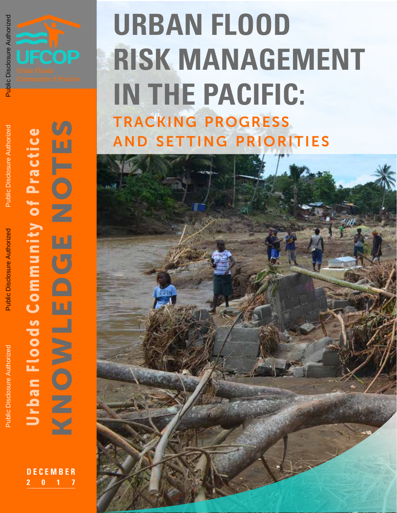

# **URBAN FLOOD RISK MANAGEMENT IN THE PACIFIC:** tracking progress **AND SETTING PRIORITIES**



**VA** KNOWLEDGE NOTES Urban Floods Community of Practice<br><
NOWLEDGE NOTES Urban Floods Community of Practice ×

> **DECEMBER 2017**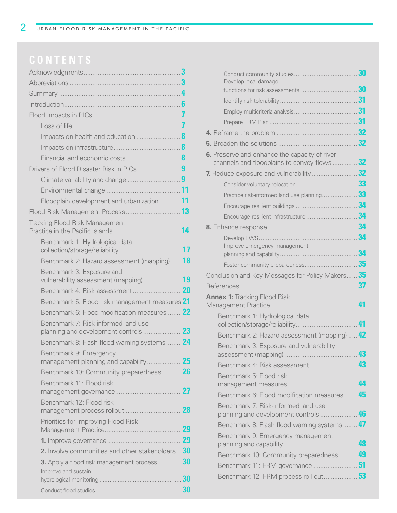|                                                                             | 3  |
|-----------------------------------------------------------------------------|----|
|                                                                             |    |
|                                                                             |    |
|                                                                             |    |
|                                                                             |    |
|                                                                             |    |
|                                                                             |    |
|                                                                             |    |
|                                                                             |    |
|                                                                             |    |
|                                                                             |    |
|                                                                             |    |
| Floodplain development and urbanization 11                                  |    |
|                                                                             |    |
| <b>Tracking Flood Risk Management</b>                                       |    |
| Benchmark 1: Hydrological data                                              |    |
| Benchmark 2: Hazard assessment (mapping)  18                                |    |
| Benchmark 3: Exposure and                                                   |    |
|                                                                             |    |
| Benchmark 5: Flood risk management measures 21                              |    |
| Benchmark 6: Flood modification measures  22                                |    |
| Benchmark 7: Risk-informed land use<br>planning and development controls    | 23 |
| Benchmark 8: Flash flood warning systems <sup>24</sup>                      |    |
| Benchmark 9: Emergency                                                      |    |
|                                                                             |    |
| Benchmark 10: Community preparedness  26                                    |    |
| Benchmark 11: Flood risk                                                    |    |
| Benchmark 12: Flood risk                                                    |    |
|                                                                             |    |
| Priorities for Improving Flood Risk                                         | 29 |
|                                                                             | 29 |
| 2. Involve communities and other stakeholders  30                           |    |
| <b>3.</b> Apply a flood risk management process $30$<br>Improve and sustain |    |
|                                                                             | 30 |
|                                                                             |    |

| Conduct community studies<br>Develop local damage                                         | 30<br>30 |
|-------------------------------------------------------------------------------------------|----------|
| functions for risk assessments                                                            | 31       |
|                                                                                           | 31       |
|                                                                                           | 31       |
|                                                                                           | 32       |
|                                                                                           |          |
|                                                                                           | 32       |
| 6. Preserve and enhance the capacity of river<br>channels and floodplains to convey flows | 32       |
| 7. Reduce exposure and vulnerability                                                      | 32       |
|                                                                                           | 33       |
| Practice risk-informed land use planning                                                  | 33       |
|                                                                                           | 34       |
| Encourage resilient infrastructure                                                        | 34       |
|                                                                                           | 34       |
|                                                                                           | 34       |
| Improve emergency management                                                              | 34       |
|                                                                                           |          |
| Conclusion and Key Messages for Policy Makers 35                                          |          |
| References                                                                                | 37       |
| .<br><b>Annex 1:</b> Tracking Flood Risk                                                  |          |
| Management Practice                                                                       | 41       |
| Benchmark 1: Hydrological data                                                            |          |
| collection/storage/reliability                                                            | 41       |
| Benchmark 2: Hazard assessment (mapping)                                                  | 42       |
| Benchmark 3: Exposure and vulnerability<br>assessment (mapping)                           | 43       |
| Benchmark 4: Risk assessment                                                              | 43       |
| Benchmark 5: Flood risk                                                                   |          |
|                                                                                           | 44       |
| Benchmark 6: Flood modification measures  45                                              |          |
| Benchmark 7: Risk-informed land use<br>planning and development controls                  | 46       |
| Benchmark 8: Flash flood warning systems                                                  | 47       |
|                                                                                           |          |
| Benchmark 9: Emergency management                                                         | 48       |
| Benchmark 10: Community preparedness  49                                                  |          |
| Benchmark 11: FRM governance  51                                                          |          |
| Benchmark 12: FRM process roll out 53                                                     |          |
|                                                                                           |          |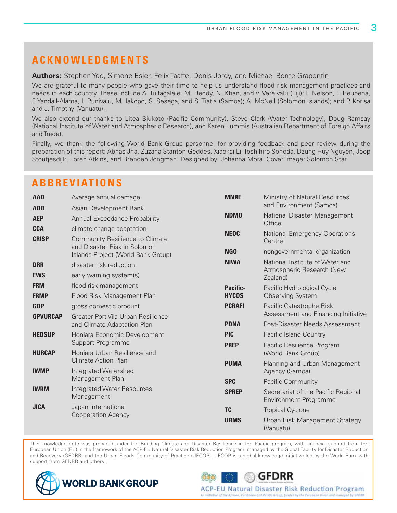### **ACKNOWLEDGMENTS**

**Authors:** Stephen Yeo, Simone Esler, Felix Taaffe, Denis Jordy, and Michael Bonte-Grapentin

We are grateful to many people who gave their time to help us understand flood risk management practices and needs in each country. These include A. Tuifagalele, M. Reddy, N. Khan, and V. Vereivalu (Fiji); F. Nelson, F. Reupena, F. Yandall-Alama, I. Punivalu, M. Iakopo, S. Sesega, and S. Tiatia (Samoa); A. McNeil (Solomon Islands); and P. Korisa and J. Timothy (Vanuatu).

We also extend our thanks to Litea Biukoto (Pacific Community), Steve Clark (Water Technology), Doug Ramsay (National Institute of Water and Atmospheric Research), and Karen Lummis (Australian Department of Foreign Affairs and Trade).

Finally, we thank the following World Bank Group personnel for providing feedback and peer review during the preparation of this report: Abhas Jha, Zuzana Stanton-Geddes, Xiaokai Li, Toshihiro Sonoda, Dzung Huy Nguyen, Joop Stoutjesdijk, Loren Atkins, and Brenden Jongman. Designed by: Johanna Mora. Cover image: Solomon Star

### **ABBREVIATIONS**

| <b>AAD</b>      | Average annual damage                                           | <b>MNRE</b>     | Ministry of Natural Resources                                       |
|-----------------|-----------------------------------------------------------------|-----------------|---------------------------------------------------------------------|
| <b>ADB</b>      | Asian Development Bank                                          |                 | and Environment (Samoa)                                             |
| <b>AEP</b>      | Annual Exceedance Probability                                   | <b>NDMO</b>     | National Disaster Management<br>Office                              |
| <b>CCA</b>      | climate change adaptation                                       | <b>NEOC</b>     | <b>National Emergency Operations</b>                                |
| <b>CRISP</b>    | Community Resilience to Climate<br>and Disaster Risk in Solomon |                 | Centre                                                              |
|                 | Islands Project (World Bank Group)                              | NG <sub>0</sub> | nongovernmental organization                                        |
| <b>DRR</b>      | disaster risk reduction                                         | <b>NIWA</b>     | National Institute of Water and<br>Atmospheric Research (New        |
| <b>EWS</b>      | early warning system(s)                                         |                 | Zealand)                                                            |
| <b>FRM</b>      | flood risk management                                           | <b>Pacific-</b> | Pacific Hydrological Cycle                                          |
| <b>FRMP</b>     | Flood Risk Management Plan                                      | <b>HYCOS</b>    | <b>Observing System</b>                                             |
| <b>GDP</b>      | gross domestic product                                          | <b>PCRAFI</b>   | Pacific Catastrophe Risk                                            |
| <b>GPVURCAP</b> | Greater Port Vila Urban Resilience                              |                 | Assessment and Financing Initiative                                 |
|                 | and Climate Adaptation Plan                                     | <b>PDNA</b>     | Post-Disaster Needs Assessment                                      |
| <b>HEDSUP</b>   | Honiara Economic Development                                    | <b>PIC</b>      | Pacific Island Country                                              |
|                 | Support Programme                                               | <b>PREP</b>     | Pacific Resilience Program                                          |
| <b>HURCAP</b>   | Honiara Urban Resilience and                                    |                 | (World Bank Group)                                                  |
|                 | <b>Climate Action Plan</b>                                      | <b>PUMA</b>     | Planning and Urban Management                                       |
| <b>IWMP</b>     | Integrated Watershed                                            |                 | Agency (Samoa)                                                      |
|                 | Management Plan                                                 | <b>SPC</b>      | Pacific Community                                                   |
| <b>IWRM</b>     | <b>Integrated Water Resources</b><br>Management                 | <b>SPREP</b>    | Secretariat of the Pacific Regional<br><b>Environment Programme</b> |
| <b>JICA</b>     | Japan International                                             | <b>TC</b>       | <b>Tropical Cyclone</b>                                             |
|                 | <b>Cooperation Agency</b>                                       | <b>URMS</b>     | Urban Risk Management Strategy<br>(Vanuatu)                         |

This knowledge note was prepared under the Building Climate and Disaster Resilience in the Pacific program, with financial support from the European Union (EU) in the framework of the ACP-EU Natural Disaster Risk Reduction Program, managed by the Global Facility for Disaster Reduction and Recovery (GFDRR) and the Urban Floods Community of Practice (UFCOP). UFCOP is a global knowledge initiative led by the World Bank with support from GFDRR and others.



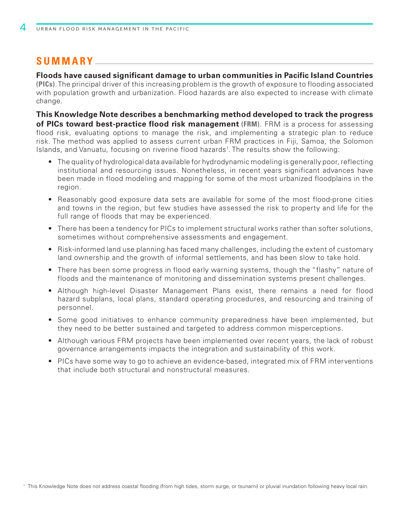### **SUMMARY**

**Floods have caused significant damage to urban communities in Pacific Island Countries (PICs)**. The principal driver of this increasing problem is the growth of exposure to flooding associated with population growth and urbanization. Flood hazards are also expected to increase with climate change.

**This Knowledge Note describes a benchmarking method developed to track the progress of PICs toward best-practice flood risk management (FRM)**. FRM is a process for assessing flood risk, evaluating options to manage the risk, and implementing a strategic plan to reduce risk. The method was applied to assess current urban FRM practices in Fiji, Samoa, the Solomon Islands, and Vanuatu, focusing on riverine flood hazards<sup>1</sup>. The results show the following:

- **•** The quality of hydrological data available for hydrodynamic modeling is generally poor, reflecting institutional and resourcing issues. Nonetheless, in recent years significant advances have been made in flood modeling and mapping for some of the most urbanized floodplains in the region.
- **•** Reasonably good exposure data sets are available for some of the most flood-prone cities and towns in the region, but few studies have assessed the risk to property and life for the full range of floods that may be experienced.
- **•** There has been a tendency for PICs to implement structural works rather than softer solutions, sometimes without comprehensive assessments and engagement.
- **•** Risk-informed land use planning has faced many challenges, including the extent of customary land ownership and the growth of informal settlements, and has been slow to take hold.
- **•** There has been some progress in flood early warning systems, though the "flashy" nature of floods and the maintenance of monitoring and dissemination systems present challenges.
- **•** Although high-level Disaster Management Plans exist, there remains a need for flood hazard subplans, local plans, standard operating procedures, and resourcing and training of personnel.
- **•** Some good initiatives to enhance community preparedness have been implemented, but they need to be better sustained and targeted to address common misperceptions.
- **•** Although various FRM projects have been implemented over recent years, the lack of robust governance arrangements impacts the integration and sustainability of this work.
- **•** PICs have some way to go to achieve an evidence-based, integrated mix of FRM interventions that include both structural and nonstructural measures.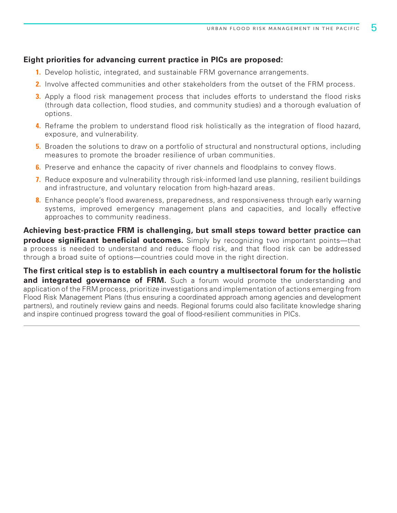#### **Eight priorities for advancing current practice in PICs are proposed:**

- **1.** Develop holistic, integrated, and sustainable FRM governance arrangements.
- **2.** Involve affected communities and other stakeholders from the outset of the FRM process.
- **3.** Apply a flood risk management process that includes efforts to understand the flood risks (through data collection, flood studies, and community studies) and a thorough evaluation of options.
- **4.** Reframe the problem to understand flood risk holistically as the integration of flood hazard, exposure, and vulnerability.
- **5.** Broaden the solutions to draw on a portfolio of structural and nonstructural options, including measures to promote the broader resilience of urban communities.
- **6.** Preserve and enhance the capacity of river channels and floodplains to convey flows.
- **7.** Reduce exposure and vulnerability through risk-informed land use planning, resilient buildings and infrastructure, and voluntary relocation from high-hazard areas.
- **8.** Enhance people's flood awareness, preparedness, and responsiveness through early warning systems, improved emergency management plans and capacities, and locally effective approaches to community readiness.

**Achieving best-practice FRM is challenging, but small steps toward better practice can produce significant beneficial outcomes.** Simply by recognizing two important points—that a process is needed to understand and reduce flood risk, and that flood risk can be addressed through a broad suite of options—countries could move in the right direction.

**The first critical step is to establish in each country a multisectoral forum for the holistic**  and integrated governance of FRM. Such a forum would promote the understanding and application of the FRM process, prioritize investigations and implementation of actions emerging from Flood Risk Management Plans (thus ensuring a coordinated approach among agencies and development partners), and routinely review gains and needs. Regional forums could also facilitate knowledge sharing and inspire continued progress toward the goal of flood-resilient communities in PICs.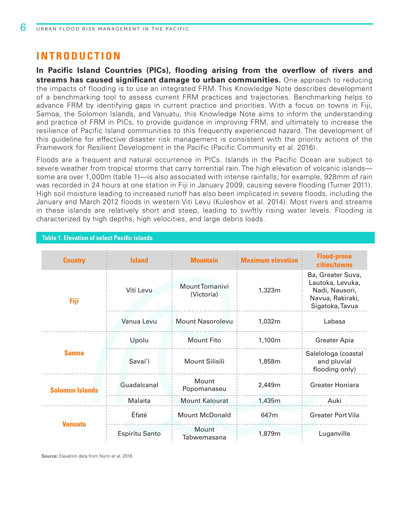### **INTRODUCTION**

**In Pacific Island Countries (PICs), flooding arising from the overflow of rivers and streams has caused significant damage to urban communities.** One approach to reducing the impacts of flooding is to use an integrated FRM. This Knowledge Note describes development of a benchmarking tool to assess current FRM practices and trajectories. Benchmarking helps to advance FRM by identifying gaps in current practice and priorities. With a focus on towns in Fiji, Samoa, the Solomon Islands, and Vanuatu, this Knowledge Note aims to inform the understanding and practice of FRM in PICs, to provide guidance in improving FRM, and ultimately to increase the resilience of Pacific Island communities to this frequently experienced hazard. The development of this guideline for effective disaster risk management is consistent with the priority actions of the Framework for Resilient Development in the Pacific (Pacific Community et al. 2016).

Floods are a frequent and natural occurrence in PICs. Islands in the Pacific Ocean are subject to severe weather from tropical storms that carry torrential rain. The high elevation of volcanic islands some are over 1,000m (table 1)—is also associated with intense rainfalls; for example, 928mm of rain was recorded in 24 hours at one station in Fiji in January 2009, causing severe flooding (Turner 2011). High soil moisture leading to increased runoff has also been implicated in severe floods, including the January and March 2012 floods in western Viti Levu (Kuleshov et al. 2014). Most rivers and streams in these islands are relatively short and steep, leading to swiftly rising water levels. Flooding is characterized by high depths, high velocities, and large debris loads.

| <b>Table 1. Elevation of select Pacific islands</b> |                       |                              |                          |                                                                                                |
|-----------------------------------------------------|-----------------------|------------------------------|--------------------------|------------------------------------------------------------------------------------------------|
| <b>Country</b>                                      | <b>Island</b>         | <b>Mountain</b>              | <b>Maximum elevation</b> | <b>Flood-prone</b><br>cities/towns                                                             |
| Fiji                                                | Viti Levu             | Mount Tomanivi<br>(Victoria) | 1,323m                   | Ba, Greater Suva,<br>Lautoka, Levuka,<br>Nadi, Nausori,<br>Navua, Rakiraki,<br>Sigatoka, Tavua |
|                                                     | Vanua Levu            | <b>Mount Nasorolevu</b>      | 1,032m                   | Labasa                                                                                         |
|                                                     | Upolu                 | <b>Mount Fito</b>            | 1,100m                   | <b>Greater Apia</b>                                                                            |
| <b>Samoa</b>                                        | Savai'i               | <b>Mount Silisili</b>        | 1,858m                   | Salelologa (coastal<br>and pluvial<br>flooding only)                                           |
| <b>Solomon Islands</b>                              | Guadalcanal           | Mount<br>Popomanaseu         | 2,449m                   | Greater Honiara                                                                                |
|                                                     | Malaita               | <b>Mount Kalourat</b>        | 1,435m                   | Auki                                                                                           |
| <b>Vanuatu</b>                                      | Éfaté                 | <b>Mount McDonald</b>        | 647m                     | <b>Greater Port Vila</b>                                                                       |
|                                                     | <b>Espiritu Santo</b> | Mount<br>Tabwemasana         | 1,879m                   | Luganville                                                                                     |

Source: Elevation data from Nunn et al. 2016.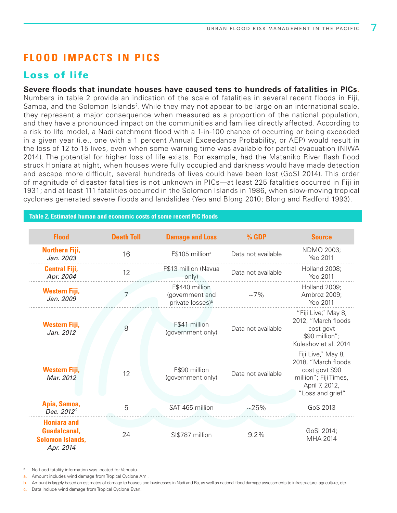### **FLOOD IMPACTS IN PICS**

### Loss of life

**Severe floods that inundate houses have caused tens to hundreds of fatalities in PICs.** Numbers in table 2 provide an indication of the scale of fatalities in several recent floods in Fiji, Samoa, and the Solomon Islands<sup>2</sup>. While they may not appear to be large on an international scale, they represent a major consequence when measured as a proportion of the national population, and they have a pronounced impact on the communities and families directly affected. According to a risk to life model, a Nadi catchment flood with a 1-in-100 chance of occurring or being exceeded in a given year (i.e., one with a 1 percent Annual Exceedance Probability, or AEP) would result in the loss of 12 to 15 lives, even when some warning time was available for partial evacuation (NIWA 2014). The potential for higher loss of life exists. For example, had the Mataniko River flash flood struck Honiara at night, when houses were fully occupied and darkness would have made detection and escape more difficult, several hundreds of lives could have been lost (GoSI 2014). This order of magnitude of disaster fatalities is not unknown in PICs—at least 225 fatalities occurred in Fiji in 1931; and at least 111 fatalities occurred in the Solomon Islands in 1986, when slow-moving tropical cyclones generated severe floods and landslides (Yeo and Blong 2010; Blong and Radford 1993).

#### **Table 2. Estimated human and economic costs of some recent PIC floods**

| <b>Flood</b>                                                                      | <b>Death Toll</b> | <b>Damage and Loss</b>                                            | $%$ GDP            | <b>Source</b>                                                                                                               |
|-----------------------------------------------------------------------------------|-------------------|-------------------------------------------------------------------|--------------------|-----------------------------------------------------------------------------------------------------------------------------|
| Northern Fiji,<br>Jan. 2003                                                       | 16                | F\$105 million <sup>a</sup>                                       | Data not available | NDMO 2003;<br>Yeo 2011                                                                                                      |
| <b>Central Fiji,</b><br>Apr. 2004                                                 | 12                | F\$13 million (Navua<br>only)                                     | Data not available | Holland 2008;<br>Yeo 2011                                                                                                   |
| <b>Western Fiji,</b><br>Jan. 2009                                                 |                   | F\$440 million<br>(government and<br>private losses) <sup>b</sup> | $~17\%$            | Holland 2009;<br>Ambroz 2009;<br>Yeo 2011                                                                                   |
| <b>Western Fiji,</b><br>Jan. 2012                                                 | 8                 | F\$41 million<br>(government only)                                | Data not available | "Fiji Live," May 8,<br>2012, "March floods<br>cost govt<br>\$90 million";<br>Kuleshov et al. 2014                           |
| <b>Western Fiji,</b><br>Mar. 2012                                                 | 12                | F\$90 million<br>(government only)                                | Data not available | Fiji Live," May 8,<br>2018, "March floods<br>cost govt \$90<br>million"; Fiji Times,<br>April 7, 2012,<br>"Loss and grief". |
| Apia, Samoa,<br>Dec. 2012 <sup>c</sup>                                            | 5                 | SAT 465 million                                                   | $~25\%$            | GoS 2013                                                                                                                    |
| <b>Honiara and</b><br><b>Guadalcanal,</b><br><b>Solomon Islands,</b><br>Apr. 2014 | 24                | SI\$787 million                                                   | 9.2%               | GoSI 2014;<br>MHA 2014                                                                                                      |

<sup>2</sup> No flood fatality information was located for Vanuatu.

a. Amount includes wind damage from Tropical Cyclone Ami.

b. Amount is largely based on estimates of damage to houses and businesses in Nadi and Ba, as well as national flood damage assessments to infrastructure, agriculture, etc.

c. Data include wind damage from Tropical Cyclone Evan.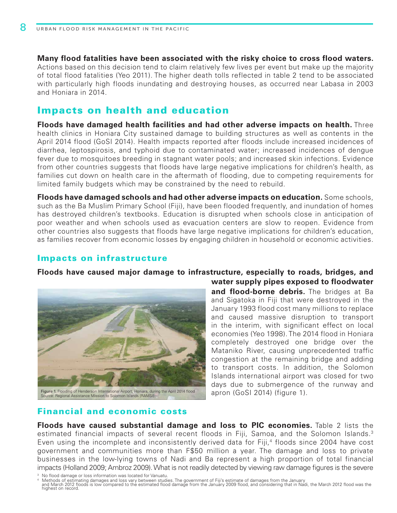**Many flood fatalities have been associated with the risky choice to cross flood waters.**  Actions based on this decision tend to claim relatively few lives per event but make up the majority of total flood fatalities (Yeo 2011). The higher death tolls reflected in table 2 tend to be associated with particularly high floods inundating and destroying houses, as occurred near Labasa in 2003 and Honiara in 2014.

### Impacts on health and education

**Floods have damaged health facilities and had other adverse impacts on health.** Three health clinics in Honiara City sustained damage to building structures as well as contents in the April 2014 flood (GoSI 2014). Health impacts reported after floods include increased incidences of diarrhea, leptospirosis, and typhoid due to contaminated water; increased incidences of dengue fever due to mosquitoes breeding in stagnant water pools; and increased skin infections. Evidence from other countries suggests that floods have large negative implications for children's health, as families cut down on health care in the aftermath of flooding, due to competing requirements for limited family budgets which may be constrained by the need to rebuild.

**Floods have damaged schools and had other adverse impacts on education.** Some schools, such as the Ba Muslim Primary School (Fiji), have been flooded frequently, and inundation of homes has destroyed children's textbooks. Education is disrupted when schools close in anticipation of poor weather and when schools used as evacuation centers are slow to reopen. Evidence from other countries also suggests that floods have large negative implications for children's education, as families recover from economic losses by engaging children in household or economic activities.

### Impacts on infrastructure

#### **Floods have caused major damage to infrastructure, especially to roads, bridges, and**



**water supply pipes exposed to floodwater and flood-borne debris.** The bridges at Ba and Sigatoka in Fiji that were destroyed in the January 1993 flood cost many millions to replace and caused massive disruption to transport in the interim, with significant effect on local economies (Yeo 1998). The 2014 flood in Honiara completely destroyed one bridge over the Mataniko River, causing unprecedented traffic congestion at the remaining bridge and adding to transport costs. In addition, the Solomon Islands international airport was closed for two days due to submergence of the runway and apron (GoSI 2014) (figure 1).

### Financial and economic costs

**Floods have caused substantial damage and loss to PIC economies.** Table 2 lists the estimated financial impacts of several recent floods in Fiji, Samoa, and the Solomon Islands.<sup>3</sup> Even using the incomplete and inconsistently derived data for Fiji,<sup>4</sup> floods since 2004 have cost government and communities more than F\$50 million a year. The damage and loss to private businesses in the low-lying towns of Nadi and Ba represent a high proportion of total financial impacts (Holland 2009; Ambroz 2009). What is not readily detected by viewing raw damage figures is the severe

<sup>3</sup> No flood damage or loss information was located for Vanuatu.

Methods of estimating damages and loss vary between studies. The government of Fiji's estimate of damages from the January<br>and March 2012 floods is low compared to the estimated flood damage from the January 2009 flood, an highest on record.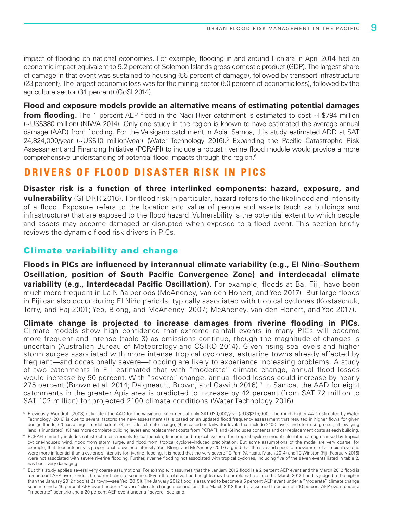impact of flooding on national economies. For example, flooding in and around Honiara in April 2014 had an economic impact equivalent to 9.2 percent of Solomon Islands gross domestic product (GDP). The largest share of damage in that event was sustained to housing (56 percent of damage), followed by transport infrastructure (23 percent). The largest economic loss was for the mining sector (50 percent of economic loss), followed by the agriculture sector (31 percent) (GoSI 2014).

**Flood and exposure models provide an alternative means of estimating potential damages from flooding.** The 1 percent AEP flood in the Nadi River catchment is estimated to cost ~F\$794 million (~US\$380 million) (NIWA 2014). Only one study in the region is known to have estimated the average annual damage (AAD) from flooding. For the Vaisigano catchment in Apia, Samoa, this study estimated ADD at SAT 24,824,000/year (~US\$10 million/year) (Water Technology 2016).<sup>5</sup> Expanding the Pacific Catastrophe Risk Assessment and Financing Initiative (PCRAFI) to include a robust riverine flood module would provide a more comprehensive understanding of potential flood impacts through the region.<sup>6</sup>

### **DRIVERS OF FLOOD DISASTER RISK IN PICS**

**Disaster risk is a function of three interlinked components: hazard, exposure, and vulnerability** (GFDRR 2016). For flood risk in particular, hazard refers to the likelihood and intensity of a flood. Exposure refers to the location and value of people and assets (such as buildings and infrastructure) that are exposed to the flood hazard. Vulnerability is the potential extent to which people and assets may become damaged or disrupted when exposed to a flood event. This section briefly reviews the dynamic flood risk drivers in PICs.

### Climate variability and change

**Floods in PICs are influenced by interannual climate variability (e.g., El Niño–Southern Oscillation, position of South Pacific Convergence Zone) and interdecadal climate variability (e.g., Interdecadal Pacific Oscillation)**. For example, floods at Ba, Fiji, have been much more frequent in La Niña periods (McAneney, van den Honert, and Yeo 2017). But large floods in Fiji can also occur during El Niño periods, typically associated with tropical cyclones (Kostaschuk, Terry, and Raj 2001; Yeo, Blong, and McAneney. 2007; McAneney, van den Honert, and Yeo 2017).

**Climate change is projected to increase damages from riverine flooding in PICs.**  Climate models show high confidence that extreme rainfall events in many PICs will become more frequent and intense (table 3) as emissions continue, though the magnitude of changes is uncertain (Australian Bureau of Meteorology and CSIRO 2014). Given rising sea levels and higher storm surges associated with more intense tropical cyclones, estuarine towns already affected by frequent—and occasionally severe—flooding are likely to experience increasing problems. A study of two catchments in Fiji estimated that with "moderate" climate change, annual flood losses would increase by 90 percent. With "severe" change, annual flood losses could increase by nearly 275 percent (Brown et al. 2014; Daigneault, Brown, and Gawith 2016).<sup>7</sup> In Samoa, the AAD for eight catchments in the greater Apia area is predicted to increase by 42 percent (from SAT 72 million to SAT 102 million) for projected 2100 climate conditions (Water Technology 2016).

<sup>&</sup>lt;sup>5</sup> Previously, Woodruff (2008) estimated the AAD for the Vaisigano catchment at only SAT 620,000/year (~US\$215,000). The much higher AAD estimated by Water Technology (2016) is due to several factors: the new assessment (1) is based on an updated flood frequency assessment that resulted in higher flows for given design floods; (2) has a larger model extent; (3) includes climate change; (4) is based on tailwater levels that include 2100 levels and storm surge (i.e., all low-lying land is inundated); (5) has more complete building layers and replacement costs from PCRAFI; and (6) includes contents and car replacement costs at each building.

<sup>&</sup>lt;sup>6</sup> PCRAFI currently includes catastrophe loss models for earthquake, tsunami, and tropical cyclone. The tropical cyclone model calculates damage caused by tropical cyclone-induced wind, flood from storm surge, and flood from tropical cyclone–induced precipitation. But some assumptions of the model are very coarse, for example, that flood intensity is proportional to cyclone intensity. Yeo, Blong, and McAneney (2007) argued that the size and speed of movement of a tropical cyclone were more influential than a cyclone's intensity for riverine flooding. It is noted that the very severe TC Pam (Vanuatu, March 2014) and TC Winston (Fiji, February 2016) were not associated with severe riverine flooding. Further, riverine flooding not associated with tropical cyclones, including five of the seven events listed in table 2, has been very damaging.

<sup>&</sup>lt;sup>7</sup> But this study applies several very coarse assumptions. For example, it assumes that the January 2012 flood is a 2 percent AEP event and the March 2012 flood is a 5 percent AEP event under the current climate scenario. (Even the relative flood heights may be problematic, since the March 2012 flood is judged to be higher than the January 2012 flood at Ba town—see Yeo [2015]). The January 2012 flood is assumed to become a 5 percent AEP event under a "moderate" climate change scenario and a 10 percent AEP event under a "severe" climate change scenario; and the March 2012 flood is assumed to become a 10 percent AEP event under a "moderate" scenario and a 20 percent AEP event under a "severe" scenario.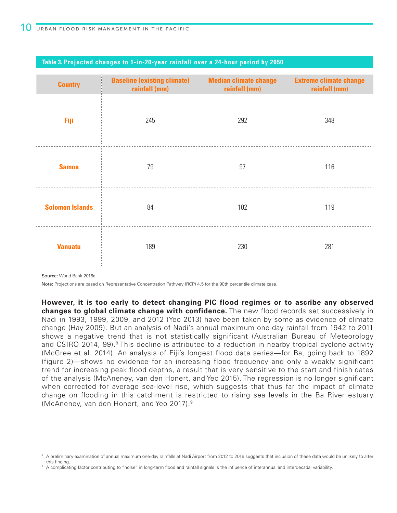| <b>Country</b>         | <b>Baseline (existing climate)</b><br>rainfall (mm) | <b>Median climate change</b><br>rainfall (mm) | <b>Extreme climate change</b><br>rainfall (mm) |
|------------------------|-----------------------------------------------------|-----------------------------------------------|------------------------------------------------|
| Fiji                   | 245                                                 | 292                                           | 348                                            |
| <b>Samoa</b>           | 79                                                  | 97                                            | 116                                            |
| <b>Solomon Islands</b> | 84                                                  | 102                                           | 119                                            |
| <b>Vanuatu</b>         | 189                                                 | 230                                           | 281                                            |

#### **Table 3. Projected changes to 1-in-20-year rainfall over a 24-hour period by 2050**

Source: World Bank 2016a.

Note: Projections are based on Representative Concentration Pathway (RCP) 4.5 for the 90th percentile climate case.

**However, it is too early to detect changing PIC flood regimes or to ascribe any observed changes to global climate change with confidence.** The new flood records set successively in Nadi in 1993, 1999, 2009, and 2012 (Yeo 2013) have been taken by some as evidence of climate change (Hay 2009). But an analysis of Nadi's annual maximum one-day rainfall from 1942 to 2011 shows a negative trend that is not statistically significant (Australian Bureau of Meteorology and CSIRO 2014, 99).<sup>8</sup> This decline is attributed to a reduction in nearby tropical cyclone activity (McGree et al. 2014). An analysis of Fiji's longest flood data series—for Ba, going back to 1892 (figure 2)—shows no evidence for an increasing flood frequency and only a weakly significant trend for increasing peak flood depths, a result that is very sensitive to the start and finish dates of the analysis (McAneney, van den Honert, and Yeo 2015). The regression is no longer significant when corrected for average sea-level rise, which suggests that thus far the impact of climate change on flooding in this catchment is restricted to rising sea levels in the Ba River estuary (McAneney, van den Honert, and Yeo 2017).9

<sup>&</sup>lt;sup>8</sup> A preliminary examination of annual maximum one-day rainfalls at Nadi Airport from 2012 to 2016 suggests that inclusion of these data would be unlikely to alter this finding.

<sup>&</sup>lt;sup>9</sup> A complicating factor contributing to "noise" in long-term flood and rainfall signals is the influence of interannual and interdecadal variability.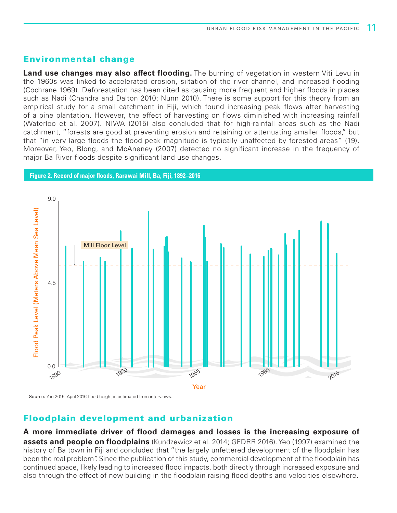### Environmental change

**Land use changes may also affect flooding.** The burning of vegetation in western Viti Levu in the 1960s was linked to accelerated erosion, siltation of the river channel, and increased flooding (Cochrane 1969). Deforestation has been cited as causing more frequent and higher floods in places such as Nadi (Chandra and Dalton 2010; Nunn 2010). There is some support for this theory from an empirical study for a small catchment in Fiji, which found increasing peak flows after harvesting of a pine plantation. However, the effect of harvesting on flows diminished with increasing rainfall (Waterloo et al. 2007). NIWA (2015) also concluded that for high-rainfall areas such as the Nadi catchment, "forests are good at preventing erosion and retaining or attenuating smaller floods," but that "in very large floods the flood peak magnitude is typically unaffected by forested areas" (19). Moreover, Yeo, Blong, and McAneney (2007) detected no significant increase in the frequency of major Ba River floods despite significant land use changes.



Source: Yeo 2015; April 2016 flood height is estimated from interviews.

### Floodplain development and urbanization

**A more immediate driver of flood damages and losses is the increasing exposure of assets and people on floodplains** (Kundzewicz et al. 2014; GFDRR 2016). Yeo (1997) examined the history of Ba town in Fiji and concluded that "the largely unfettered development of the floodplain has been the real problem". Since the publication of this study, commercial development of the floodplain has continued apace, likely leading to increased flood impacts, both directly through increased exposure and also through the effect of new building in the floodplain raising flood depths and velocities elsewhere.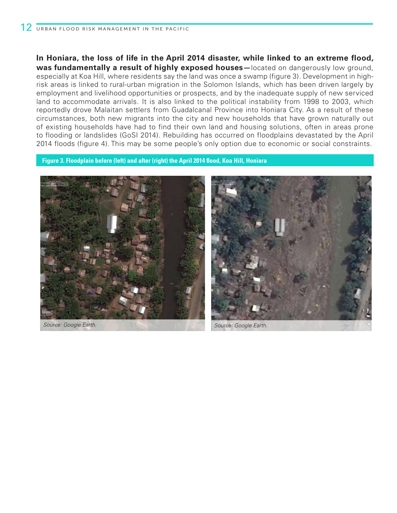**In Honiara, the loss of life in the April 2014 disaster, while linked to an extreme flood, was fundamentally a result of highly exposed houses—**located on dangerously low ground, especially at Koa Hill, where residents say the land was once a swamp (figure 3). Development in highrisk areas is linked to rural-urban migration in the Solomon Islands, which has been driven largely by employment and livelihood opportunities or prospects, and by the inadequate supply of new serviced land to accommodate arrivals. It is also linked to the political instability from 1998 to 2003, which reportedly drove Malaitan settlers from Guadalcanal Province into Honiara City. As a result of these circumstances, both new migrants into the city and new households that have grown naturally out of existing households have had to find their own land and housing solutions, often in areas prone to flooding or landslides (GoSI 2014). Rebuilding has occurred on floodplains devastated by the April 2014 floods (figure 4). This may be some people's only option due to economic or social constraints.

**Figure 3. Floodplain before (left) and after (right) the April 2014 flood, Koa Hill, Honiara**





*Source: Google Earth. Source: Google Earth.*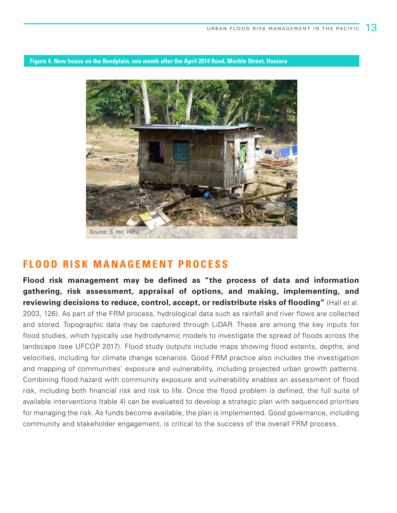**Figure 4. New house on the floodplain, one month after the April 2014 flood, Marble Street, Honiara**



### **FLOOD RISK MANAGEMENT PROCESS**

**Flood risk management may be defined as "the process of data and information gathering, risk assessment, appraisal of options, and making, implementing, and reviewing decisions to reduce, control, accept, or redistribute risks of flooding"** (Hall et al. 2003, 126). As part of the FRM process, hydrological data such as rainfall and river flows are collected and stored. Topographic data may be captured through LiDAR. These are among the key inputs for flood studies, which typically use hydrodynamic models to investigate the spread of floods across the landscape (see UFCOP 2017). Flood study outputs include maps showing flood extents, depths, and velocities, including for climate change scenarios. Good FRM practice also includes the investigation and mapping of communities' exposure and vulnerability, including projected urban growth patterns. Combining flood hazard with community exposure and vulnerability enables an assessment of flood risk, including both financial risk and risk to life. Once the flood problem is defined, the full suite of available interventions (table 4) can be evaluated to develop a strategic plan with sequenced priorities for managing the risk. As funds become available, the plan is implemented. Good governance, including community and stakeholder engagement, is critical to the success of the overall FRM process.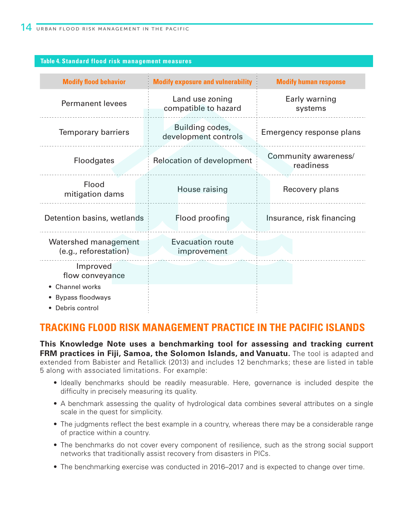#### **Table 4. Standard flood risk management measures**

| <b>Modify flood behavior</b>                                                                | <b>Modify exposure and vulnerability</b> | <b>Modify human response</b>      |  |
|---------------------------------------------------------------------------------------------|------------------------------------------|-----------------------------------|--|
| <b>Permanent levees</b>                                                                     | Land use zoning<br>compatible to hazard  | Early warning<br>systems          |  |
| <b>Temporary barriers</b>                                                                   | Building codes,<br>development controls  | Emergency response plans          |  |
| <b>Floodgates</b>                                                                           | <b>Relocation of development</b>         | Community awareness/<br>readiness |  |
| Flood<br>mitigation dams                                                                    | House raising                            | Recovery plans                    |  |
| Detention basins, wetlands                                                                  | Flood proofing                           | Insurance, risk financing         |  |
| Watershed management<br>(e.g., reforestation)                                               | <b>Evacuation route</b><br>improvement   |                                   |  |
| Improved<br>flow conveyance<br>• Channel works<br><b>Bypass floodways</b><br>Debris control |                                          |                                   |  |

### **TRACKING FLOOD RISK MANAGEMENT PRACTICE IN THE PACIFIC ISLANDS**

**This Knowledge Note uses a benchmarking tool for assessing and tracking current FRM practices in Fiji, Samoa, the Solomon Islands, and Vanuatu.** The tool is adapted and extended from Babister and Retallick (2013) and includes 12 benchmarks; these are listed in table 5 along with associated limitations. For example:

- Ideally benchmarks should be readily measurable. Here, governance is included despite the difficulty in precisely measuring its quality.
- A benchmark assessing the quality of hydrological data combines several attributes on a single scale in the quest for simplicity.
- The judgments reflect the best example in a country, whereas there may be a considerable range of practice within a country.
- The benchmarks do not cover every component of resilience, such as the strong social support networks that traditionally assist recovery from disasters in PICs.
- The benchmarking exercise was conducted in 2016–2017 and is expected to change over time.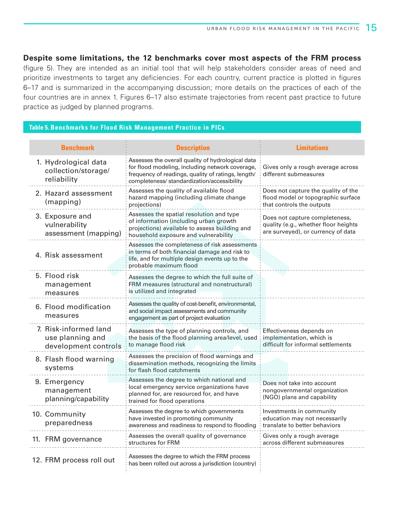#### **Despite some limitations, the 12 benchmarks cover most aspects of the FRM process**

(figure 5). They are intended as an initial tool that will help stakeholders consider areas of need and prioritize investments to target any deficiencies. For each country, current practice is plotted in figures 6–17 and is summarized in the accompanying discussion; more details on the practices of each of the four countries are in annex 1. Figures 6–17 also estimate trajectories from recent past practice to future practice as judged by planned programs.

#### **Table 5. Benchmarks for Flood Risk Management Practice in PICs**

| <b>Benchmark</b>                                                  | <b>Description</b>                                                                                                                                                                                        | <b>Limitations</b>                                                                                           |
|-------------------------------------------------------------------|-----------------------------------------------------------------------------------------------------------------------------------------------------------------------------------------------------------|--------------------------------------------------------------------------------------------------------------|
| 1. Hydrological data<br>collection/storage/<br>reliability        | Assesses the overall quality of hydrological data<br>for flood modeling, including network coverage,<br>frequency of readings, quality of ratings, length/<br>completeness/ standardization/accessibility | Gives only a rough average across<br>different submeasures                                                   |
| 2. Hazard assessment<br>(mapping)                                 | Assesses the quality of available flood<br>hazard mapping (including climate change<br>projections)                                                                                                       | Does not capture the quality of the<br>flood model or topographic surface<br>that controls the outputs       |
| 3. Exposure and<br>vulnerability<br>assessment (mapping)          | Assesses the spatial resolution and type<br>of information (including urban growth<br>projections) available to assess building and<br>household exposure and vulnerability                               | Does not capture completeness,<br>quality (e.g., whether floor heights<br>are surveyed), or currency of data |
| 4. Risk assessment                                                | Assesses the completeness of risk assessments<br>in terms of both financial damage and risk to<br>life, and for multiple design events up to the<br>probable maximum flood                                |                                                                                                              |
| 5. Flood risk<br>management<br>measures                           | Assesses the degree to which the full suite of<br>FRM measures (structural and nonstructural)<br>is utilized and integrated                                                                               |                                                                                                              |
| 6. Flood modification<br>measures                                 | Assesses the quality of cost-benefit, environmental,<br>and social impact assessments and community<br>engagement as part of project evaluation                                                           |                                                                                                              |
| 7. Risk-informed land<br>use planning and<br>development controls | Assesses the type of planning controls, and<br>the basis of the flood planning area/level, used<br>to manage flood risk                                                                                   | Effectiveness depends on<br>implementation, which is<br>difficult for informal settlements                   |
| 8. Flash flood warning<br>systems                                 | Assesses the precision of flood warnings and<br>dissemination methods, recognizing the limits<br>for flash flood catchments                                                                               |                                                                                                              |
| 9. Emergency<br>management<br>planning/capability                 | Assesses the degree to which national and<br>local emergency service organizations have<br>planned for, are resourced for, and have<br>trained for flood operations                                       | Does not take into account<br>nongovernmental organization<br>(NGO) plans and capability                     |
| 10. Community<br>preparedness                                     | Assesses the degree to which governments<br>have invested in promoting community<br>awareness and readiness to respond to flooding                                                                        | Investments in community<br>education may not necessarily<br>translate to better behaviors                   |
| 11. FRM governance                                                | Assesses the overall quality of governance<br>structures for FRM                                                                                                                                          | Gives only a rough average<br>across different submeasures                                                   |
| 12. FRM process roll out                                          | Assesses the degree to which the FRM process<br>has been rolled out across a jurisdiction (country)                                                                                                       |                                                                                                              |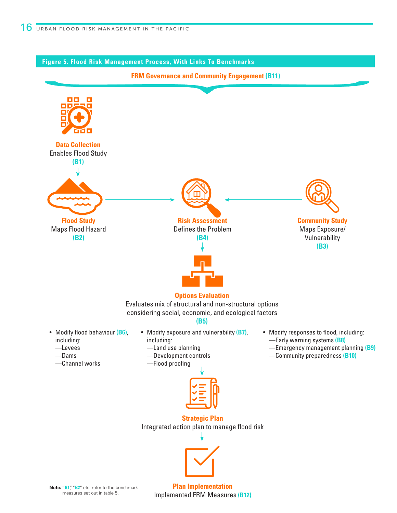

**Note:** "**B1**", "**B2**", etc. refer to the benchmark measures set out in table 5.

**Plan Implementation** Implemented FRM Measures **(B12)**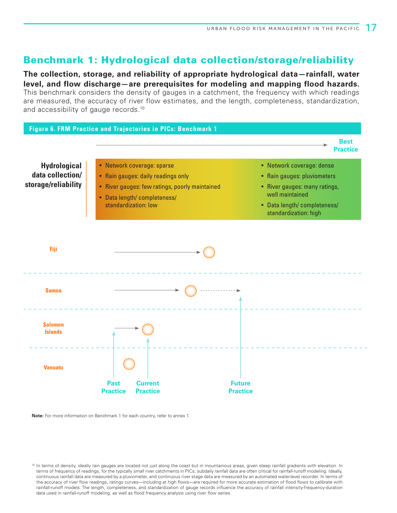### Benchmark 1: Hydrological data collection/storage/reliability

**The collection, storage, and reliability of appropriate hydrological data—rainfall, water level, and flow discharge—are prerequisites for modeling and mapping flood hazards.** This benchmark considers the density of gauges in a catchment, the frequency with which readings are measured, the accuracy of river flow estimates, and the length, completeness, standardization, and accessibility of gauge records.<sup>10</sup>



**Note:** For more information on Benchmark 1 for each country, refer to annex 1.

<sup>&</sup>lt;sup>10</sup> In terms of density, ideally rain gauges are located not just along the coast but in mountainous areas, given steep rainfall gradients with elevation. In terms of frequency of readings, for the typically small river catchments in PICs, subdaily rainfall data are often critical for rainfall-runoff modeling. Ideally, continuous rainfall data are measured by a pluviometer, and continuous river stage data are measured by an automated water-level recorder. In terms of the accuracy of river flow readings, ratings curves—including at high flows—are required for more accurate estimation of flood flows to calibrate with rainfall-runoff models. The length, completeness, and standardization of gauge records influence the accuracy of rainfall intensity-frequency-duration data used in rainfall-runoff modeling, as well as flood frequency analysis using river flow series.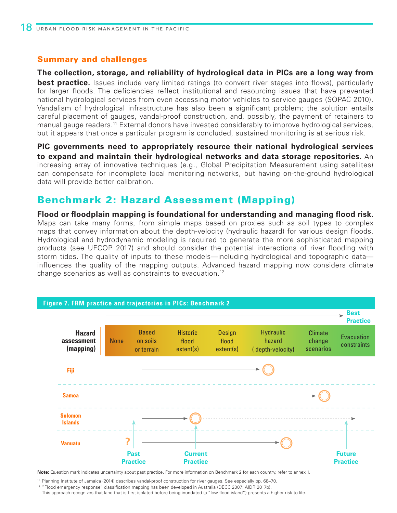**The collection, storage, and reliability of hydrological data in PICs are a long way from best practice.** Issues include very limited ratings (to convert river stages into flows), particularly for larger floods. The deficiencies reflect institutional and resourcing issues that have prevented national hydrological services from even accessing motor vehicles to service gauges (SOPAC 2010). Vandalism of hydrological infrastructure has also been a significant problem; the solution entails careful placement of gauges, vandal-proof construction, and, possibly, the payment of retainers to manual gauge readers.<sup>11</sup> External donors have invested considerably to improve hydrological services, but it appears that once a particular program is concluded, sustained monitoring is at serious risk.

**PIC governments need to appropriately resource their national hydrological services to expand and maintain their hydrological networks and data storage repositories.** An increasing array of innovative techniques (e.g., Global Precipitation Measurement using satellites) can compensate for incomplete local monitoring networks, but having on-the-ground hydrological data will provide better calibration.

### Benchmark 2: Hazard Assessment (Mapping)

**Flood or floodplain mapping is foundational for understanding and managing flood risk.**  Maps can take many forms, from simple maps based on proxies such as soil types to complex maps that convey information about the depth-velocity (hydraulic hazard) for various design floods. Hydrological and hydrodynamic modeling is required to generate the more sophisticated mapping products (see UFCOP 2017) and should consider the potential interactions of river flooding with storm tides. The quality of inputs to these models—including hydrological and topographic data influences the quality of the mapping outputs. Advanced hazard mapping now considers climate change scenarios as well as constraints to evacuation.12



**Note:** Question mark indicates uncertainty about past practice. For more information on Benchmark 2 for each country, refer to annex 1.

<sup>11</sup> Planning Institute of Jamaica (2014) describes vandal-proof construction for river gauges. See especially pp. 68–70.

<sup>12</sup> "Flood emergency response" classification mapping has been developed in Australia (DECC 2007; AIDR 2017b).

This approach recognizes that land that is first isolated before being inundated (a "low flood island") presents a higher risk to life.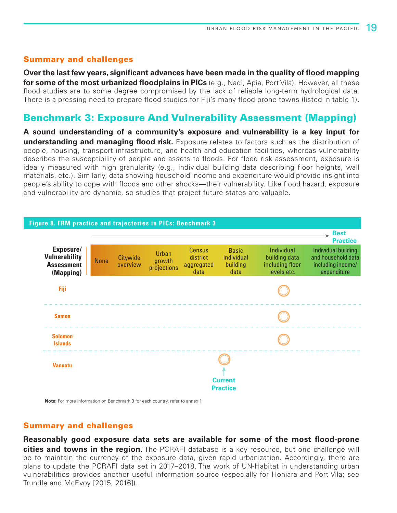**Over the last few years, significant advances have been made in the quality of flood mapping for some of the most urbanized floodplains in PICs** (e.g., Nadi, Apia, Port Vila). However, all these flood studies are to some degree compromised by the lack of reliable long-term hydrological data. There is a pressing need to prepare flood studies for Fiji's many flood-prone towns (listed in table 1).

### Benchmark 3: Exposure And Vulnerability Assessment (Mapping)

**A sound understanding of a community's exposure and vulnerability is a key input for understanding and managing flood risk.** Exposure relates to factors such as the distribution of people, housing, transport infrastructure, and health and education facilities, whereas vulnerability describes the susceptibility of people and assets to floods. For flood risk assessment, exposure is ideally measured with high granularity (e.g., individual building data describing floor heights, wall materials, etc.). Similarly, data showing household income and expenditure would provide insight into people's ability to cope with floods and other shocks—their vulnerability. Like flood hazard, exposure and vulnerability are dynamic, so studies that project future states are valuable.



**Note:** For more information on Benchmark 3 for each country, refer to annex 1.

#### Summary and challenges

**Reasonably good exposure data sets are available for some of the most flood-prone cities and towns in the region.** The PCRAFI database is a key resource, but one challenge will be to maintain the currency of the exposure data, given rapid urbanization. Accordingly, there are plans to update the PCRAFI data set in 2017–2018. The work of UN-Habitat in understanding urban vulnerabilities provides another useful information source (especially for Honiara and Port Vila; see Trundle and McEvoy [2015, 2016]).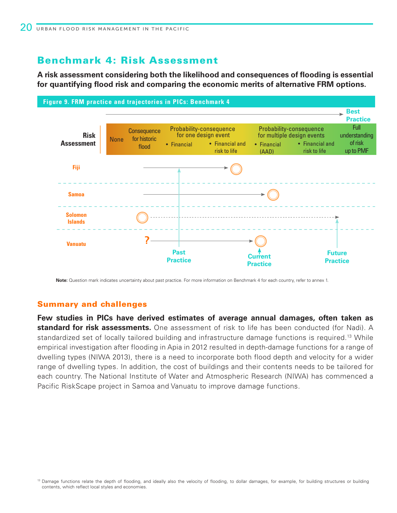### Benchmark 4: Risk Assessment

**A risk assessment considering both the likelihood and consequences of flooding is essential for quantifying flood risk and comparing the economic merits of alternative FRM options.**



**Note:** Question mark indicates uncertainty about past practice. For more information on Benchmark 4 for each country, refer to annex 1.

#### Summary and challenges

**Few studies in PICs have derived estimates of average annual damages, often taken as standard for risk assessments.** One assessment of risk to life has been conducted (for Nadi). A standardized set of locally tailored building and infrastructure damage functions is required.13 While empirical investigation after flooding in Apia in 2012 resulted in depth-damage functions for a range of dwelling types (NIWA 2013), there is a need to incorporate both flood depth and velocity for a wider range of dwelling types. In addition, the cost of buildings and their contents needs to be tailored for each country. The National Institute of Water and Atmospheric Research (NIWA) has commenced a Pacific RiskScape project in Samoa and Vanuatu to improve damage functions.

<sup>&</sup>lt;sup>13</sup> Damage functions relate the depth of flooding, and ideally also the velocity of flooding, to dollar damages, for example, for building structures or building contents, which reflect local styles and economies.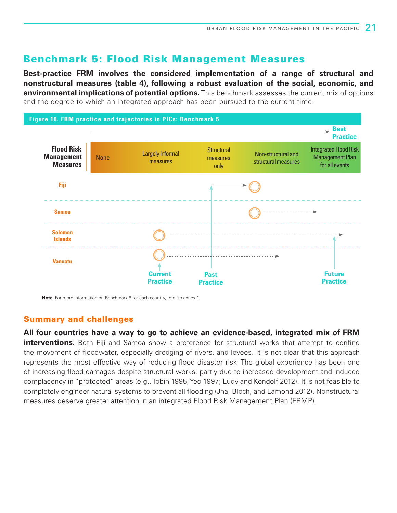### Benchmark 5: Flood Risk Management Measures

**Best-practice FRM involves the considered implementation of a range of structural and nonstructural measures (table 4), following a robust evaluation of the social, economic, and environmental implications of potential options.** This benchmark assesses the current mix of options and the degree to which an integrated approach has been pursued to the current time.



**Note:** For more information on Benchmark 5 for each country, refer to annex 1.

#### Summary and challenges

**All four countries have a way to go to achieve an evidence-based, integrated mix of FRM interventions.** Both Fiji and Samoa show a preference for structural works that attempt to confine the movement of floodwater, especially dredging of rivers, and levees. It is not clear that this approach represents the most effective way of reducing flood disaster risk. The global experience has been one of increasing flood damages despite structural works, partly due to increased development and induced complacency in "protected" areas (e.g., Tobin 1995; Yeo 1997; Ludy and Kondolf 2012). It is not feasible to completely engineer natural systems to prevent all flooding (Jha, Bloch, and Lamond 2012). Nonstructural measures deserve greater attention in an integrated Flood Risk Management Plan (FRMP).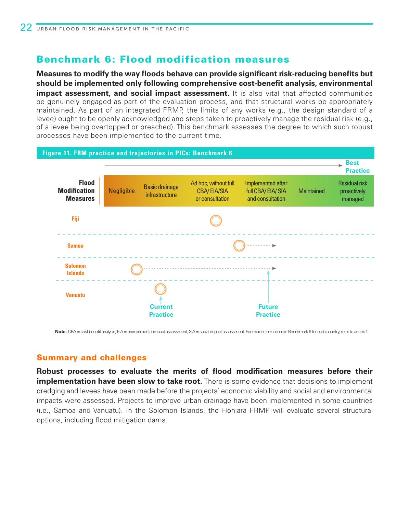### Benchmark 6: Flood modification measures

**Measures to modify the way floods behave can provide significant risk-reducing benefits but should be implemented only following comprehensive cost-benefit analysis, environmental impact assessment, and social impact assessment.** It is also vital that affected communities be genuinely engaged as part of the evaluation process, and that structural works be appropriately maintained. As part of an integrated FRMP, the limits of any works (e.g., the design standard of a levee) ought to be openly acknowledged and steps taken to proactively manage the residual risk (e.g., of a levee being overtopped or breached). This benchmark assesses the degree to which such robust processes have been implemented to the current time.



Note: CBA = cost-benefit analysis; EIA = environmental impact assessment; SIA = social impact assessment. For more information on Benchmark 6 for each country, refer to annex 1.

### Summary and challenges

**Robust processes to evaluate the merits of flood modification measures before their implementation have been slow to take root.** There is some evidence that decisions to implement dredging and levees have been made before the projects' economic viability and social and environmental impacts were assessed. Projects to improve urban drainage have been implemented in some countries (i.e., Samoa and Vanuatu). In the Solomon Islands, the Honiara FRMP will evaluate several structural options, including flood mitigation dams.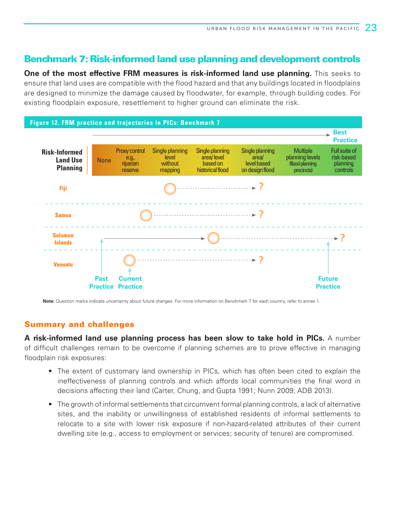### Benchmark 7: Risk-informed land use planning and development controls

**One of the most effective FRM measures is risk-informed land use planning.** This seeks to ensure that land uses are compatible with the flood hazard and that any buildings located in floodplains are designed to minimize the damage caused by floodwater, for example, through building codes. For existing floodplain exposure, resettlement to higher ground can eliminate the risk.



**Note:** Question marks indicate uncertainty about future changes. For more information on Benchmark 7 for each country, refer to annex 1.

#### Summary and challenges

**A risk-informed land use planning process has been slow to take hold in PICs.** A number of difficult challenges remain to be overcome if planning schemes are to prove effective in managing floodplain risk exposures:

- The extent of customary land ownership in PICs, which has often been cited to explain the ineffectiveness of planning controls and which affords local communities the final word in decisions affecting their land (Carter, Chung, and Gupta 1991; Nunn 2009; ADB 2013).
- The growth of informal settlements that circumvent formal planning controls, a lack of alternative sites, and the inability or unwillingness of established residents of informal settlements to relocate to a site with lower risk exposure if non-hazard-related attributes of their current dwelling site (e.g., access to employment or services; security of tenure) are compromised.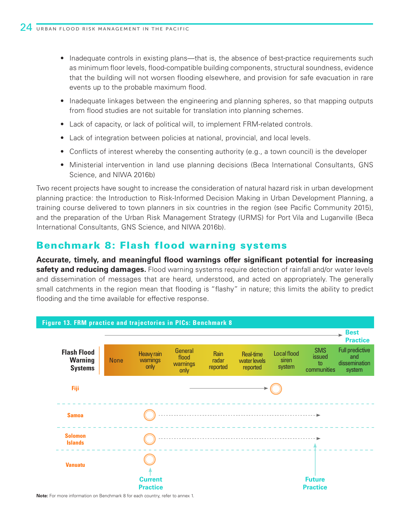- Inadequate controls in existing plans—that is, the absence of best-practice requirements such as minimum floor levels, flood-compatible building components, structural soundness, evidence that the building will not worsen flooding elsewhere, and provision for safe evacuation in rare events up to the probable maximum flood.
- Inadequate linkages between the engineering and planning spheres, so that mapping outputs from flood studies are not suitable for translation into planning schemes.
- Lack of capacity, or lack of political will, to implement FRM-related controls.
- Lack of integration between policies at national, provincial, and local levels.
- Conflicts of interest whereby the consenting authority (e.g., a town council) is the developer
- Ministerial intervention in land use planning decisions (Beca International Consultants, GNS Science, and NIWA 2016b)

Two recent projects have sought to increase the consideration of natural hazard risk in urban development planning practice: the Introduction to Risk-Informed Decision Making in Urban Development Planning, a training course delivered to town planners in six countries in the region (see Pacific Community 2015), and the preparation of the Urban Risk Management Strategy (URMS) for Port Vila and Luganville (Beca International Consultants, GNS Science, and NIWA 2016b).

### Benchmark 8: Flash flood warning systems

**Accurate, timely, and meaningful flood warnings offer significant potential for increasing safety and reducing damages.** Flood warning systems require detection of rainfall and/or water levels and dissemination of messages that are heard, understood, and acted on appropriately. The generally small catchments in the region mean that flooding is "flashy" in nature; this limits the ability to predict flooding and the time available for effective response.



**Note:** For more information on Benchmark 8 for each country, refer to annex 1.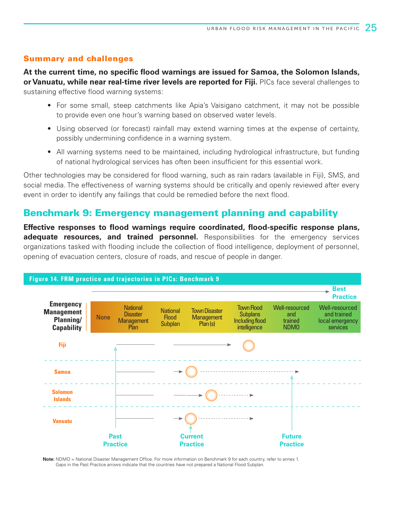**At the current time, no specific flood warnings are issued for Samoa, the Solomon Islands, or Vanuatu, while near real-time river levels are reported for Fiji.** PICs face several challenges to sustaining effective flood warning systems:

- For some small, steep catchments like Apia's Vaisigano catchment, it may not be possible to provide even one hour's warning based on observed water levels.
- Using observed (or forecast) rainfall may extend warning times at the expense of certainty, possibly undermining confidence in a warning system.
- All warning systems need to be maintained, including hydrological infrastructure, but funding of national hydrological services has often been insufficient for this essential work.

Other technologies may be considered for flood warning, such as rain radars (available in Fiji), SMS, and social media. The effectiveness of warning systems should be critically and openly reviewed after every event in order to identify any failings that could be remedied before the next flood.

### Benchmark 9: Emergency management planning and capability

**Effective responses to flood warnings require coordinated, flood-specific response plans, adequate resources, and trained personnel.** Responsibilities for the emergency services organizations tasked with flooding include the collection of flood intelligence, deployment of personnel, opening of evacuation centers, closure of roads, and rescue of people in danger.



**Note:** NDMO = National Disaster Management Office. For more information on Benchmark 9 for each country, refer to annex 1. Gaps in the Past Practice arrows indicate that the countries have not prepared a National Flood Subplan.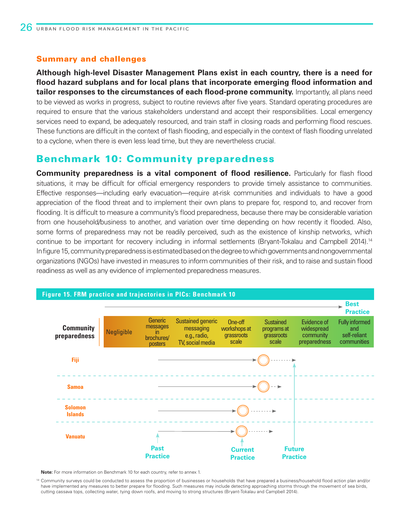**Although high-level Disaster Management Plans exist in each country, there is a need for flood hazard subplans and for local plans that incorporate emerging flood information and tailor responses to the circumstances of each flood-prone community.** Importantly, all plans need to be viewed as works in progress, subject to routine reviews after five years. Standard operating procedures are required to ensure that the various stakeholders understand and accept their responsibilities. Local emergency services need to expand, be adequately resourced, and train staff in closing roads and performing flood rescues. These functions are difficult in the context of flash flooding, and especially in the context of flash flooding unrelated to a cyclone, when there is even less lead time, but they are nevertheless crucial.

### Benchmark 10: Community preparedness

**Community preparedness is a vital component of flood resilience.** Particularly for flash flood situations, it may be difficult for official emergency responders to provide timely assistance to communities. Effective responses—including early evacuation—require at-risk communities and individuals to have a good appreciation of the flood threat and to implement their own plans to prepare for, respond to, and recover from flooding. It is difficult to measure a community's flood preparedness, because there may be considerable variation from one household/business to another, and variation over time depending on how recently it flooded. Also, some forms of preparedness may not be readily perceived, such as the existence of kinship networks, which continue to be important for recovery including in informal settlements (Bryant-Tokalau and Campbell 2014).<sup>14</sup> In figure 15, community preparedness is estimated based on the degree to which governments and nongovernmental organizations (NGOs) have invested in measures to inform communities of their risk, and to raise and sustain flood readiness as well as any evidence of implemented preparedness measures.



#### **Figure 15. FRM practice and trajectories in PICs: Benchmark 10**

**Note:** For more information on Benchmark 10 for each country, refer to annex 1.

<sup>14</sup> Community surveys could be conducted to assess the proportion of businesses or households that have prepared a business/household flood action plan and/or have implemented any measures to better prepare for flooding. Such measures may include detecting approaching storms through the movement of sea birds, cutting cassava tops, collecting water, tying down roofs, and moving to strong structures (Bryant-Tokalau and Campbell 2014).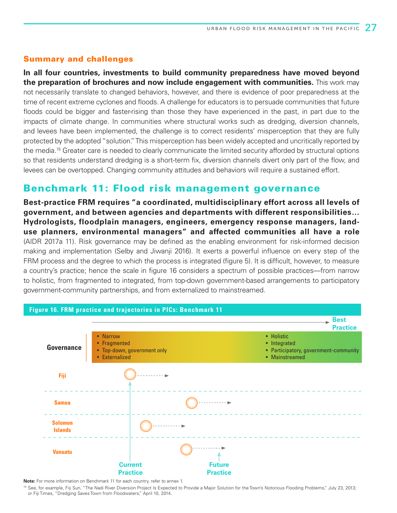**In all four countries, investments to build community preparedness have moved beyond the preparation of brochures and now include engagement with communities.** This work may not necessarily translate to changed behaviors, however, and there is evidence of poor preparedness at the time of recent extreme cyclones and floods. A challenge for educators is to persuade communities that future floods could be bigger and faster-rising than those they have experienced in the past, in part due to the impacts of climate change. In communities where structural works such as dredging, diversion channels, and levees have been implemented, the challenge is to correct residents' misperception that they are fully protected by the adopted "solution." This misperception has been widely accepted and uncritically reported by the media.<sup>15</sup> Greater care is needed to clearly communicate the limited security afforded by structural options so that residents understand dredging is a short-term fix, diversion channels divert only part of the flow, and levees can be overtopped. Changing community attitudes and behaviors will require a sustained effort.

### Benchmark 11: Flood risk management governance

**Best-practice FRM requires "a coordinated, multidisciplinary effort across all levels of government, and between agencies and departments with different responsibilities… Hydrologists, floodplain managers, engineers, emergency response managers, landuse planners, environmental managers" and affected communities all have a role** (AIDR 2017a 11). Risk governance may be defined as the enabling environment for risk-informed decision making and implementation (Selby and Jiwanji 2016). It exerts a powerful influence on every step of the FRM process and the degree to which the process is integrated (figure 5). It is difficult, however, to measure a country's practice; hence the scale in figure 16 considers a spectrum of possible practices—from narrow to holistic, from fragmented to integrated, from top-down government-based arrangements to participatory government-community partnerships, and from externalized to mainstreamed.



**Note:** For more information on Benchmark 11 for each country, refer to annex 1.

<sup>15</sup> See, for example, Fiji Sun, "The Nadi River Diversion Project Is Expected to Provide a Major Solution for the Town's Notorious Flooding Problems," July 23, 2013; or Fiji Times, "Dredging Saves Town from Floodwaters," April 10, 2014.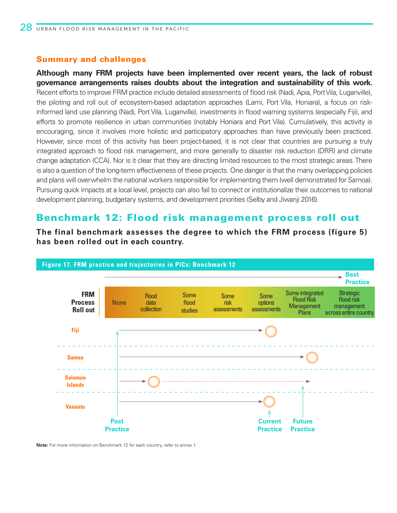**Although many FRM projects have been implemented over recent years, the lack of robust governance arrangements raises doubts about the integration and sustainability of this work.**  Recent efforts to improve FRM practice include detailed assessments of flood risk (Nadi, Apia, Port Vila, Luganville), the piloting and roll out of ecosystem-based adaptation approaches (Lami, Port Vila, Honiara), a focus on riskinformed land use planning (Nadi, Port Vila, Luganville), investments in flood warning systems (especially Fiji), and efforts to promote resilience in urban communities (notably Honiara and Port Vila). Cumulatively, this activity is encouraging, since it involves more holistic and participatory approaches than have previously been practiced. However, since most of this activity has been project-based, it is not clear that countries are pursuing a truly integrated approach to flood risk management, and more generally to disaster risk reduction (DRR) and climate change adaptation (CCA). Nor is it clear that they are directing limited resources to the most strategic areas. There is also a question of the long-term effectiveness of these projects. One danger is that the many overlapping policies and plans will overwhelm the national workers responsible for implementing them (well demonstrated for Samoa). Pursuing quick impacts at a local level, projects can also fail to connect or institutionalize their outcomes to national development planning, budgetary systems, and development priorities (Selby and Jiwanji 2016).

### Benchmark 12: Flood risk management process roll out

**The final benchmark assesses the degree to which the FRM process (figure 5) has been rolled out in each country.**



**Note:** For more information on Benchmark 12 for each country, refer to annex 1.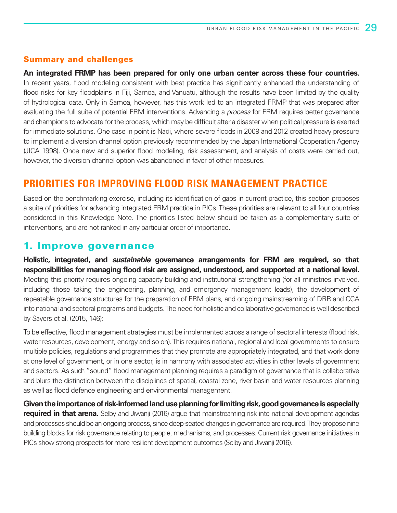**An integrated FRMP has been prepared for only one urban center across these four countries.**  In recent years, flood modeling consistent with best practice has significantly enhanced the understanding of flood risks for key floodplains in Fiji, Samoa, and Vanuatu, although the results have been limited by the quality of hydrological data. Only in Samoa, however, has this work led to an integrated FRMP that was prepared after evaluating the full suite of potential FRM interventions. Advancing a *process* for FRM requires better governance and champions to advocate for the process, which may be difficult after a disaster when political pressure is exerted for immediate solutions. One case in point is Nadi, where severe floods in 2009 and 2012 created heavy pressure to implement a diversion channel option previously recommended by the Japan International Cooperation Agency (JICA 1998). Once new and superior flood modeling, risk assessment, and analysis of costs were carried out, however, the diversion channel option was abandoned in favor of other measures.

### **PRIORITIES FOR IMPROVING FLOOD RISK MANAGEMENT PRACTICE**

Based on the benchmarking exercise, including its identification of gaps in current practice, this section proposes a suite of priorities for advancing integrated FRM practice in PICs. These priorities are relevant to all four countries considered in this Knowledge Note. The priorities listed below should be taken as a complementary suite of interventions, and are not ranked in any particular order of importance.

### 1. Improve governance

**Holistic, integrated, and** *sustainable* **governance arrangements for FRM are required, so that responsibilities for managing flood risk are assigned, understood, and supported at a national level.** Meeting this priority requires ongoing capacity building and institutional strengthening (for all ministries involved, including those taking the engineering, planning, and emergency management leads), the development of repeatable governance structures for the preparation of FRM plans, and ongoing mainstreaming of DRR and CCA into national and sectoral programs and budgets. The need for holistic and collaborative governance is well described by Sayers et al. (2015, 146):

To be effective, flood management strategies must be implemented across a range of sectoral interests (flood risk, water resources, development, energy and so on). This requires national, regional and local governments to ensure multiple policies, regulations and programmes that they promote are appropriately integrated, and that work done at one level of government, or in one sector, is in harmony with associated activities in other levels of government and sectors. As such "sound" flood management planning requires a paradigm of governance that is collaborative and blurs the distinction between the disciplines of spatial, coastal zone, river basin and water resources planning as well as flood defence engineering and environmental management.

**Given the importance of risk-informed land use planning for limiting risk, good governance is especially required in that arena.** Selby and Jiwanji (2016) argue that mainstreaming risk into national development agendas and processes should be an ongoing process, since deep-seated changes in governance are required. They propose nine building blocks for risk governance relating to people, mechanisms, and processes. Current risk governance initiatives in PICs show strong prospects for more resilient development outcomes (Selby and Jiwanji 2016).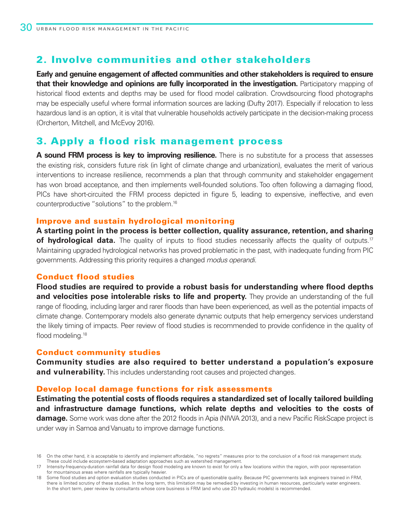### 2. Involve communities and other stakeholders

**Early and genuine engagement of affected communities and other stakeholders is required to ensure that their knowledge and opinions are fully incorporated in the investigation.** Participatory mapping of historical flood extents and depths may be used for flood model calibration. Crowdsourcing flood photographs may be especially useful where formal information sources are lacking (Dufty 2017). Especially if relocation to less hazardous land is an option, it is vital that vulnerable households actively participate in the decision-making process (Orcherton, Mitchell, and McEvoy 2016).

### 3. Apply a flood risk management process

**A sound FRM process is key to improving resilience.** There is no substitute for a process that assesses the existing risk, considers future risk (in light of climate change and urbanization), evaluates the merit of various interventions to increase resilience, recommends a plan that through community and stakeholder engagement has won broad acceptance, and then implements well-founded solutions. Too often following a damaging flood, PICs have short-circuited the FRM process depicted in figure 5, leading to expensive, ineffective, and even counterproductive "solutions" to the problem.16

#### Improve and sustain hydrological monitoring

**A starting point in the process is better collection, quality assurance, retention, and sharing of hydrological data.** The quality of inputs to flood studies necessarily affects the quality of outputs.<sup>17</sup> Maintaining upgraded hydrological networks has proved problematic in the past, with inadequate funding from PIC governments. Addressing this priority requires a changed *modus operandi.*

### Conduct flood studies

**Flood studies are required to provide a robust basis for understanding where flood depths and velocities pose intolerable risks to life and property.** They provide an understanding of the full range of flooding, including larger and rarer floods than have been experienced, as well as the potential impacts of climate change. Contemporary models also generate dynamic outputs that help emergency services understand the likely timing of impacts. Peer review of flood studies is recommended to provide confidence in the quality of flood modeling.<sup>18</sup>

#### Conduct community studies

**Community studies are also required to better understand a population's exposure and vulnerability.** This includes understanding root causes and projected changes.

#### Develop local damage functions for risk assessments

**Estimating the potential costs of floods requires a standardized set of locally tailored building and infrastructure damage functions, which relate depths and velocities to the costs of damage.** Some work was done after the 2012 floods in Apia (NIWA 2013), and a new Pacific RiskScape project is under way in Samoa and Vanuatu to improve damage functions.

<sup>16</sup> On the other hand, it is acceptable to identify and implement affordable, "no regrets" measures prior to the conclusion of a flood risk management study. These could include ecosystem-based adaptation approaches such as watershed management.

<sup>17</sup> Intensity-frequency-duration rainfall data for design flood modeling are known to exist for only a few locations within the region, with poor representation for mountainous areas where rainfalls are typically heavier.

<sup>18</sup> Some flood studies and option evaluation studies conducted in PICs are of questionable quality. Because PIC governments lack engineers trained in FRM, there is limited scrutiny of these studies. In the long term, this limitation may be remedied by investing in human resources, particularly water engineers. In the short term, peer review by consultants whose core business is FRM (and who use 2D hydraulic models) is recommended.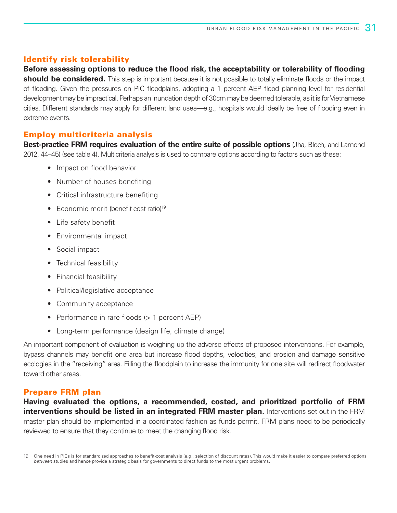#### Identify risk tolerability

## **Before assessing options to reduce the flood risk, the acceptability or tolerability of flooding**

**should be considered.** This step is important because it is not possible to totally eliminate floods or the impact of flooding. Given the pressures on PIC floodplains, adopting a 1 percent AEP flood planning level for residential development may be impractical. Perhaps an inundation depth of 30cm may be deemed tolerable, as it is for Vietnamese cities. Different standards may apply for different land uses—e.g., hospitals would ideally be free of flooding even in extreme events.

#### Employ multicriteria analysis

**Best-practice FRM requires evaluation of the entire suite of possible options** (Jha, Bloch, and Lamond 2012, 44–45) (see table 4). Multicriteria analysis is used to compare options according to factors such as these:

- Impact on flood behavior
- Number of houses benefiting
- Critical infrastructure benefiting
- Economic merit (benefit cost ratio)<sup>19</sup>
- Life safety benefit
- Environmental impact
- Social impact
- Technical feasibility
- Financial feasibility
- Political/legislative acceptance
- Community acceptance
- Performance in rare floods (> 1 percent AEP)
- Long-term performance (design life, climate change)

An important component of evaluation is weighing up the adverse effects of proposed interventions. For example, bypass channels may benefit one area but increase flood depths, velocities, and erosion and damage sensitive ecologies in the "receiving" area. Filling the floodplain to increase the immunity for one site will redirect floodwater toward other areas.

### Prepare FRM plan

**Having evaluated the options, a recommended, costed, and prioritized portfolio of FRM interventions should be listed in an integrated FRM master plan.** Interventions set out in the FRM master plan should be implemented in a coordinated fashion as funds permit. FRM plans need to be periodically reviewed to ensure that they continue to meet the changing flood risk.

<sup>19</sup> One need in PICs is for standardized approaches to benefit-cost analysis (e.g., selection of discount rates). This would make it easier to compare preferred options *between* studies and hence provide a strategic basis for governments to direct funds to the most urgent problems.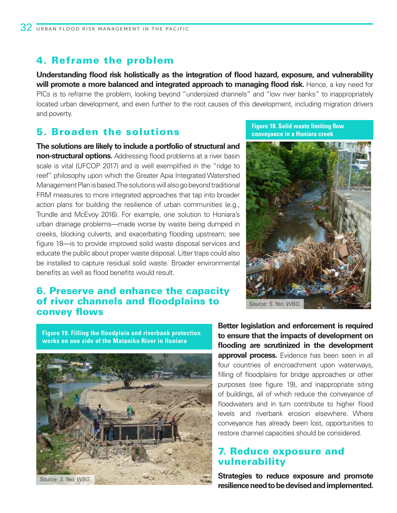### 4. Reframe the problem

**Understanding flood risk holistically as the integration of flood hazard, exposure, and vulnerability will promote a more balanced and integrated approach to managing flood risk.** Hence, a key need for PICs is to reframe the problem, looking beyond "undersized channels" and "low river banks" to inappropriately located urban development, and even further to the root causes of this development, including migration drivers and poverty.

### 5. Broaden the solutions

**The solutions are likely to include a portfolio of structural and non-structural options.** Addressing flood problems at a river basin scale is vital (UFCOP 2017) and is well exemplified in the "ridge to reef" philosophy upon which the Greater Apia Integrated Watershed Management Plan is based. The solutions will also go beyond traditional FRM measures to more integrated approaches that tap into broader action plans for building the resilience of urban communities (e.g., Trundle and McEvoy 2016). For example, one solution to Honiara's urban drainage problems—made worse by waste being dumped in creeks, blocking culverts, and exacerbating flooding upstream; see figure 18—is to provide improved solid waste disposal services and educate the public about proper waste disposal. Litter traps could also be installed to capture residual solid waste. Broader environmental benefits as well as flood benefits would result.

### 6. Preserve and enhance the capacity of river channels and floodplains to convey flows

**Figure 18. Solid waste limiting flow conveyance in a Honiara creek**



**Figure 19. Filling the floodplain and riverbank protection works on one side of the Mataniko River in Honiara** 



**Better legislation and enforcement is required to ensure that the impacts of development on flooding are scrutinized in the development approval process.** Evidence has been seen in all four countries of encroachment upon waterways, filling of floodplains for bridge approaches or other purposes (see figure 19), and inappropriate siting of buildings, all of which reduce the conveyance of floodwaters and in turn contribute to higher flood levels and riverbank erosion elsewhere. Where conveyance has already been lost, opportunities to restore channel capacities should be considered.

### 7. Reduce exposure and vulnerability

**Strategies to reduce exposure and promote resilience need to be devised and implemented.**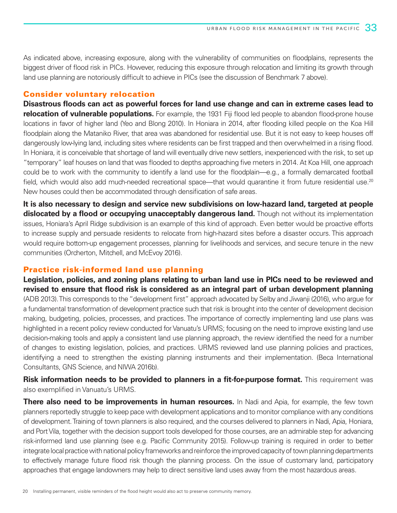As indicated above, increasing exposure, along with the vulnerability of communities on floodplains, represents the biggest driver of flood risk in PICs. However, reducing this exposure through relocation and limiting its growth through land use planning are notoriously difficult to achieve in PICs (see the discussion of Benchmark 7 above).

#### Consider voluntary relocation

**Disastrous floods can act as powerful forces for land use change and can in extreme cases lead to relocation of vulnerable populations.** For example, the 1931 Fiji flood led people to abandon flood-prone house locations in favor of higher land (Yeo and Blong 2010). In Honiara in 2014, after flooding killed people on the Koa Hill floodplain along the Mataniko River, that area was abandoned for residential use. But it is not easy to keep houses off dangerously low-lying land, including sites where residents can be first trapped and then overwhelmed in a rising flood. In Honiara, it is conceivable that shortage of land will eventually drive new settlers, inexperienced with the risk, to set up "temporary" leaf houses on land that was flooded to depths approaching five meters in 2014. At Koa Hill, one approach could be to work with the community to identify a land use for the floodplain—e.g., a formally demarcated football field, which would also add much-needed recreational space—that would quarantine it from future residential use.<sup>20</sup> New houses could then be accommodated through densification of safe areas.

**It is also necessary to design and service new subdivisions on low-hazard land, targeted at people dislocated by a flood or occupying unacceptably dangerous land.** Though not without its implementation issues, Honiara's April Ridge subdivision is an example of this kind of approach. Even better would be proactive efforts to increase supply and persuade residents to relocate from high-hazard sites before a disaster occurs. This approach would require bottom-up engagement processes, planning for livelihoods and services, and secure tenure in the new communities (Orcherton, Mitchell, and McEvoy 2016).

#### Practice risk-informed land use planning

**Legislation, policies, and zoning plans relating to urban land use in PICs need to be reviewed and revised to ensure that flood risk is considered as an integral part of urban development planning**  (ADB 2013). This corresponds to the "development first" approach advocated by Selby and Jiwanji (2016), who argue for a fundamental transformation of development practice such that risk is brought into the center of development decision making, budgeting, policies, processes, and practices. The importance of correctly implementing land use plans was highlighted in a recent policy review conducted for Vanuatu's URMS; focusing on the need to improve existing land use decision-making tools and apply a consistent land use planning approach, the review identified the need for a number of changes to existing legislation, policies, and practices. URMS reviewed land use planning policies and practices, identifying a need to strengthen the existing planning instruments and their implementation. (Beca International Consultants, GNS Science, and NIWA 2016b).

**Risk information needs to be provided to planners in a fit-for-purpose format.** This requirement was also exemplified in Vanuatu's URMS.

**There also need to be improvements in human resources.** In Nadi and Apia, for example, the few town planners reportedly struggle to keep pace with development applications and to monitor compliance with any conditions of development. Training of town planners is also required, and the courses delivered to planners in Nadi, Apia, Honiara, and Port Vila, together with the decision support tools developed for those courses, are an admirable step for advancing risk-informed land use planning (see e.g. Pacific Community 2015). Follow-up training is required in order to better integrate local practice with national policy frameworks and reinforce the improved capacity of town planning departments to effectively manage future flood risk though the planning process. On the issue of customary land, participatory approaches that engage landowners may help to direct sensitive land uses away from the most hazardous areas.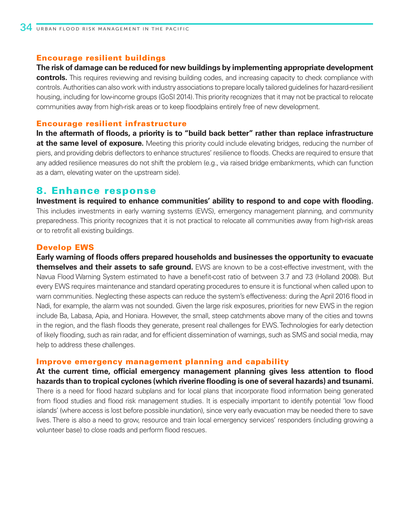#### Encourage resilient buildings

**The risk of damage can be reduced for new buildings by implementing appropriate development controls.** This requires reviewing and revising building codes, and increasing capacity to check compliance with controls. Authorities can also work with industry associations to prepare locally tailored guidelines for hazard-resilient housing, including for low-income groups (GoSI 2014). This priority recognizes that it may not be practical to relocate communities away from high-risk areas or to keep floodplains entirely free of new development.

#### Encourage resilient infrastructure

**In the aftermath of floods, a priority is to "build back better" rather than replace infrastructure at the same level of exposure.** Meeting this priority could include elevating bridges, reducing the number of piers, and providing debris deflectors to enhance structures' resilience to floods. Checks are required to ensure that any added resilience measures do not shift the problem (e.g., via raised bridge embankments, which can function as a dam, elevating water on the upstream side).

### 8. Enhance response

**Investment is required to enhance communities' ability to respond to and cope with flooding.** This includes investments in early warning systems (EWS), emergency management planning, and community preparedness. This priority recognizes that it is not practical to relocate all communities away from high-risk areas or to retrofit all existing buildings.

### Develop EWS

**Early warning of floods offers prepared households and businesses the opportunity to evacuate themselves and their assets to safe ground.** EWS are known to be a cost-effective investment, with the Navua Flood Warning System estimated to have a benefit-cost ratio of between 3.7 and 7.3 (Holland 2008). But every EWS requires maintenance and standard operating procedures to ensure it is functional when called upon to warn communities. Neglecting these aspects can reduce the system's effectiveness: during the April 2016 flood in Nadi, for example, the alarm was not sounded. Given the large risk exposures, priorities for new EWS in the region include Ba, Labasa, Apia, and Honiara. However, the small, steep catchments above many of the cities and towns in the region, and the flash floods they generate, present real challenges for EWS. Technologies for early detection of likely flooding, such as rain radar, and for efficient dissemination of warnings, such as SMS and social media, may help to address these challenges.

#### Improve emergency management planning and capability

**At the current time, official emergency management planning gives less attention to flood hazards than to tropical cyclones (which riverine flooding is one of several hazards) and tsunami.**  There is a need for flood hazard subplans and for local plans that incorporate flood information being generated from flood studies and flood risk management studies. It is especially important to identify potential 'low flood islands' (where access is lost before possible inundation), since very early evacuation may be needed there to save lives. There is also a need to grow, resource and train local emergency services' responders (including growing a volunteer base) to close roads and perform flood rescues.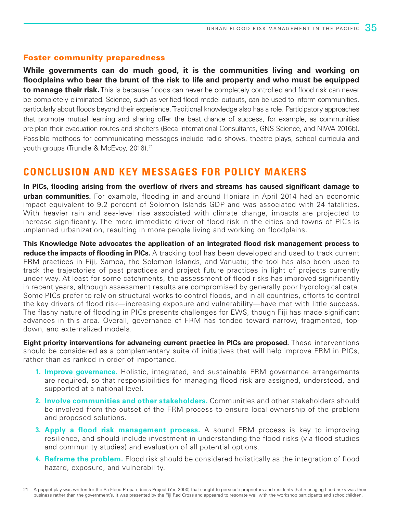#### Foster community preparedness

**While governments can do much good, it is the communities living and working on floodplains who bear the brunt of the risk to life and property and who must be equipped to manage their risk.** This is because floods can never be completely controlled and flood risk can never be completely eliminated. Science, such as verified flood model outputs, can be used to inform communities, particularly about floods beyond their experience. Traditional knowledge also has a role. Participatory approaches that promote mutual learning and sharing offer the best chance of success, for example, as communities pre-plan their evacuation routes and shelters (Beca International Consultants, GNS Science, and NIWA 2016b). Possible methods for communicating messages include radio shows, theatre plays, school curricula and youth groups (Trundle & McEvoy, 2016).<sup>21</sup>

### **CONCLUSION AND KEY MESSAGES FOR POLICY MAKERS**

**In PICs, flooding arising from the overflow of rivers and streams has caused significant damage to urban communities.** For example, flooding in and around Honiara in April 2014 had an economic impact equivalent to 9.2 percent of Solomon Islands GDP and was associated with 24 fatalities. With heavier rain and sea-level rise associated with climate change, impacts are projected to increase significantly. The more immediate driver of flood risk in the cities and towns of PICs is unplanned urbanization, resulting in more people living and working on floodplains.

**This Knowledge Note advocates the application of an integrated flood risk management process to reduce the impacts of flooding in PICs.** A tracking tool has been developed and used to track current FRM practices in Fiji, Samoa, the Solomon Islands, and Vanuatu; the tool has also been used to track the trajectories of past practices and project future practices in light of projects currently under way. At least for some catchments, the assessment of flood risks has improved significantly in recent years, although assessment results are compromised by generally poor hydrological data. Some PICs prefer to rely on structural works to control floods, and in all countries, efforts to control the key drivers of flood risk—increasing exposure and vulnerability—have met with little success. The flashy nature of flooding in PICs presents challenges for EWS, though Fiji has made significant advances in this area. Overall, governance of FRM has tended toward narrow, fragmented, topdown, and externalized models.

**Eight priority interventions for advancing current practice in PICs are proposed.** These interventions should be considered as a complementary suite of initiatives that will help improve FRM in PICs, rather than as ranked in order of importance.

- **1. Improve governance.** Holistic, integrated, and sustainable FRM governance arrangements are required, so that responsibilities for managing flood risk are assigned, understood, and supported at a national level.
- **2. Involve communities and other stakeholders.** Communities and other stakeholders should be involved from the outset of the FRM process to ensure local ownership of the problem and proposed solutions.
- **3. Apply a flood risk management process.** A sound FRM process is key to improving resilience, and should include investment in understanding the flood risks (via flood studies and community studies) and evaluation of all potential options.
- **4. Reframe the problem.** Flood risk should be considered holistically as the integration of flood hazard, exposure, and vulnerability.

<sup>21</sup> A puppet play was written for the Ba Flood Preparedness Project (Yeo 2000) that sought to persuade proprietors and residents that managing flood risks was their business rather than the government's. It was presented by the Fiji Red Cross and appeared to resonate well with the workshop participants and schoolchildren.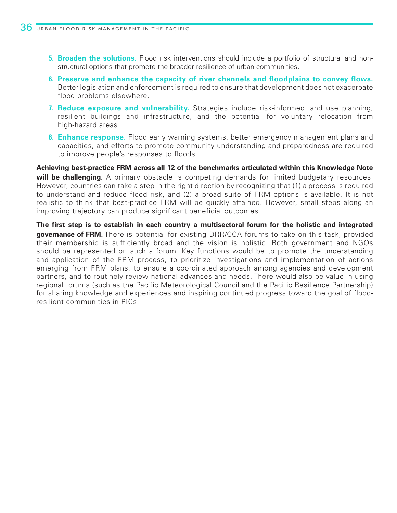- **5. Broaden the solutions.** Flood risk interventions should include a portfolio of structural and nonstructural options that promote the broader resilience of urban communities.
- **6. Preserve and enhance the capacity of river channels and floodplains to convey flows.** Better legislation and enforcement is required to ensure that development does not exacerbate flood problems elsewhere.
- **7. Reduce exposure and vulnerability.** Strategies include risk-informed land use planning, resilient buildings and infrastructure, and the potential for voluntary relocation from high-hazard areas.
- **8. Enhance response.** Flood early warning systems, better emergency management plans and capacities, and efforts to promote community understanding and preparedness are required to improve people's responses to floods.

**Achieving best-practice FRM across all 12 of the benchmarks articulated within this Knowledge Note will be challenging.** A primary obstacle is competing demands for limited budgetary resources. However, countries can take a step in the right direction by recognizing that (1) a process is required to understand and reduce flood risk, and (2) a broad suite of FRM options is available. It is not realistic to think that best-practice FRM will be quickly attained. However, small steps along an improving trajectory can produce significant beneficial outcomes.

**The first step is to establish in each country a multisectoral forum for the holistic and integrated governance of FRM.** There is potential for existing DRR/CCA forums to take on this task, provided their membership is sufficiently broad and the vision is holistic. Both government and NGOs should be represented on such a forum. Key functions would be to promote the understanding and application of the FRM process, to prioritize investigations and implementation of actions emerging from FRM plans, to ensure a coordinated approach among agencies and development partners, and to routinely review national advances and needs. There would also be value in using regional forums (such as the Pacific Meteorological Council and the Pacific Resilience Partnership) for sharing knowledge and experiences and inspiring continued progress toward the goal of floodresilient communities in PICs.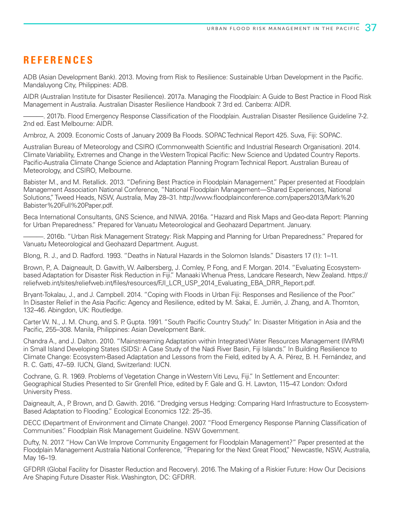### **REFERENCES**

ADB (Asian Development Bank). 2013. Moving from Risk to Resilience: Sustainable Urban Development in the Pacific. Mandaluyong City, Philippines: ADB.

AIDR (Australian Institute for Disaster Resilience). 2017a. Managing the Floodplain: A Guide to Best Practice in Flood Risk Management in Australia. Australian Disaster Resilience Handbook 7. 3rd ed. Canberra: AIDR.

———. 2017b. Flood Emergency Response Classification of the Floodplain. Australian Disaster Resilience Guideline 7-2. 2nd ed. East Melbourne: AIDR.

Ambroz, A. 2009. Economic Costs of January 2009 Ba Floods. SOPAC Technical Report 425. Suva, Fiji: SOPAC.

Australian Bureau of Meteorology and CSIRO (Commonwealth Scientific and Industrial Research Organisation). 2014. Climate Variability, Extremes and Change in the Western Tropical Pacific: New Science and Updated Country Reports. Pacific-Australia Climate Change Science and Adaptation Planning Program Technical Report. Australian Bureau of Meteorology, and CSIRO, Melbourne.

Babister M., and M. Retallick. 2013. "Defining Best Practice in Floodplain Management." Paper presented at Floodplain Management Association National Conference, "National Floodplain Management—Shared Experiences, National Solutions," Tweed Heads, NSW, Australia, May 28–31. http://www.floodplainconference.com/papers2013/Mark%20 Babister%20Full%20Paper.pdf.

Beca International Consultants, GNS Science, and NIWA. 2016a. "Hazard and Risk Maps and Geo-data Report: Planning for Urban Preparedness." Prepared for Vanuatu Meteorological and Geohazard Department. January.

———. 2016b. "Urban Risk Management Strategy: Risk Mapping and Planning for Urban Preparedness." Prepared for Vanuatu Meteorological and Geohazard Department. August.

Blong, R. J., and D. Radford. 1993. "Deaths in Natural Hazards in the Solomon Islands." Disasters 17 (1): 1–11.

Brown, P., A. Daigneault, D. Gawith, W. Aalbersberg, J. Comley, P. Fong, and F. Morgan. 2014. "Evaluating Ecosystembased Adaptation for Disaster Risk Reduction in Fiji." Manaaki Whenua Press, Landcare Research, New Zealand. https:// reliefweb.int/sites/reliefweb.int/files/resources/FJI\_LCR\_USP\_2014\_Evaluating\_EBA\_DRR\_Report.pdf.

Bryant-Tokalau, J., and J. Campbell. 2014. "Coping with Floods in Urban Fiji: Responses and Resilience of the Poor." In Disaster Relief in the Asia Pacific: Agency and Resilience, edited by M. Sakai, E. Jurriën, J. Zhang, and A. Thornton, 132–46. Abingdon, UK: Routledge.

Carter W. N., J. M. Chung, and S. P. Gupta. 1991. "South Pacific Country Study." In: Disaster Mitigation in Asia and the Pacific, 255–308. Manila, Philippines: Asian Development Bank.

Chandra A., and J. Dalton. 2010. "Mainstreaming Adaptation within Integrated Water Resources Management (IWRM) in Small Island Developing States (SIDS): A Case Study of the Nadi River Basin, Fiji Islands." In Building Resilience to Climate Change: Ecosystem-Based Adaptation and Lessons from the Field, edited by A. A. Pérez, B. H. Fernández, and R. C. Gatti, 47–59. IUCN, Gland, Switzerland: IUCN.

Cochrane, G. R. 1969. Problems of Vegetation Change in Western Viti Levu, Fiji." In Settlement and Encounter: Geographical Studies Presented to Sir Grenfell Price, edited by F. Gale and G. H. Lawton, 115–47. London: Oxford University Press.

Daigneault, A., P. Brown, and D. Gawith. 2016. "Dredging versus Hedging: Comparing Hard Infrastructure to Ecosystem-Based Adaptation to Flooding." Ecological Economics 122: 25–35.

DECC (Department of Environment and Climate Change). 2007. "Flood Emergency Response Planning Classification of Communities." Floodplain Risk Management Guideline. NSW Government.

Dufty, N. 2017. "How Can We Improve Community Engagement for Floodplain Management?" Paper presented at the Floodplain Management Australia National Conference, "Preparing for the Next Great Flood," Newcastle, NSW, Australia, May 16–19.

GFDRR (Global Facility for Disaster Reduction and Recovery). 2016. The Making of a Riskier Future: How Our Decisions Are Shaping Future Disaster Risk. Washington, DC: GFDRR.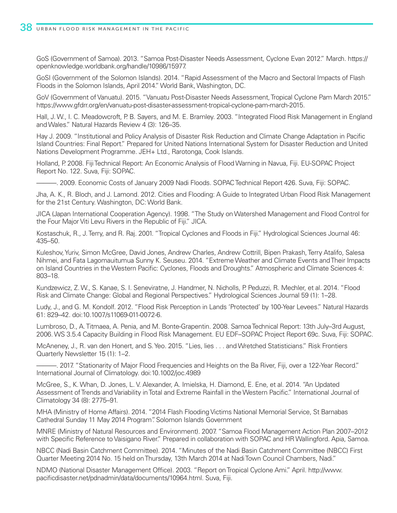GoS (Government of Samoa). 2013. "Samoa Post-Disaster Needs Assessment, Cyclone Evan 2012." March. https:// openknowledge.worldbank.org/handle/10986/15977.

GoSI (Government of the Solomon Islands). 2014. "Rapid Assessment of the Macro and Sectoral Impacts of Flash Floods in the Solomon Islands, April 2014." World Bank, Washington, DC.

GoV (Government of Vanuatu). 2015. "Vanuatu Post-Disaster Needs Assessment, Tropical Cyclone Pam March 2015." https://www.gfdrr.org/en/vanuatu-post-disaster-assessment-tropical-cyclone-pam-march-2015.

Hall, J. W., I. C. Meadowcroft, P. B. Sayers, and M. E. Bramley. 2003. "Integrated Flood Risk Management in England and Wales." Natural Hazards Review 4 (3): 126–35.

Hay J. 2009. "Institutional and Policy Analysis of Disaster Risk Reduction and Climate Change Adaptation in Pacific Island Countries: Final Report." Prepared for United Nations International System for Disaster Reduction and United Nations Development Programme. JEH+ Ltd., Rarotonga, Cook Islands.

Holland, P. 2008. Fiji Technical Report: An Economic Analysis of Flood Warning in Navua, Fiji. EU-SOPAC Project Report No. 122. Suva, Fiji: SOPAC.

———. 2009. Economic Costs of January 2009 Nadi Floods. SOPAC Technical Report 426. Suva, Fiji: SOPAC.

Jha, A. K., R. Bloch, and J. Lamond. 2012. Cities and Flooding: A Guide to Integrated Urban Flood Risk Management for the 21st Century. Washington, DC: World Bank.

JICA (Japan International Cooperation Agency). 1998. "The Study on Watershed Management and Flood Control for the Four Major Viti Levu Rivers in the Republic of Fiji." JICA.

Kostaschuk, R., J. Terry, and R. Raj. 2001. "Tropical Cyclones and Floods in Fiji." Hydrological Sciences Journal 46: 435–50.

Kuleshov, Yuriv, Simon McGree, David Jones, Andrew Charles, Andrew Cottrill, Bipen Prakash, Terry Atalifo, Salesa Nihmei, and Fata Lagomauitumua Sunny K. Seuseu. 2014. "Extreme Weather and Climate Events and Their Impacts on Island Countries in the Western Pacific: Cyclones, Floods and Droughts." Atmospheric and Climate Sciences 4: 803–18.

Kundzewicz, Z. W., S. Kanae, S. I. Seneviratne, J. Handmer, N. Nicholls, P. Peduzzi, R. Mechler, et al. 2014. "Flood Risk and Climate Change: Global and Regional Perspectives." Hydrological Sciences Journal 59 (1): 1–28.

Ludy, J., and G. M. Kondolf. 2012. "Flood Risk Perception in Lands 'Protected' by 100-Year Levees." Natural Hazards 61: 829–42. doi:10.1007/s11069-011-0072-6.

Lumbroso, D., A. Titmaea, A. Penia, and M. Bonte-Grapentin. 2008. Samoa Technical Report: 13th July–3rd August, 2006. WS 3.5.4 Capacity Building in Flood Risk Management. EU EDF–SOPAC Project Report 69c. Suva, Fiji: SOPAC.

McAneney, J., R. van den Honert, and S. Yeo. 2015. "Lies, lies . . . and Wretched Statisticians." Risk Frontiers Quarterly Newsletter 15 (1): 1–2.

———. 2017. "Stationarity of Major Flood Frequencies and Heights on the Ba River, Fiji, over a 122-Year Record." International Journal of Climatology. doi:10.1002/joc.4989

McGree, S., K. Whan, D. Jones, L. V. Alexander, A. Imielska, H. Diamond, E. Ene, et al. 2014. "An Updated Assessment of Trends and Variability in Total and Extreme Rainfall in the Western Pacific." International Journal of Climatology 34 (8): 2775–91.

MHA (Ministry of Home Affairs). 2014. "2014 Flash Flooding Victims National Memorial Service, St Barnabas Cathedral Sunday 11 May 2014 Program". Solomon Islands Government

MNRE (Ministry of Natural Resources and Environment). 2007. "Samoa Flood Management Action Plan 2007–2012 with Specific Reference to Vaisigano River." Prepared in collaboration with SOPAC and HR Wallingford. Apia, Samoa.

NBCC (Nadi Basin Catchment Committee). 2014. "Minutes of the Nadi Basin Catchment Committee (NBCC) First Quarter Meeting 2014 No. 15 held on Thursday, 13th March 2014 at Nadi Town Council Chambers, Nadi."

NDMO (National Disaster Management Office). 2003. "Report on Tropical Cyclone Ami." April. http://www. pacificdisaster.net/pdnadmin/data/documents/10964.html. Suva, Fiji.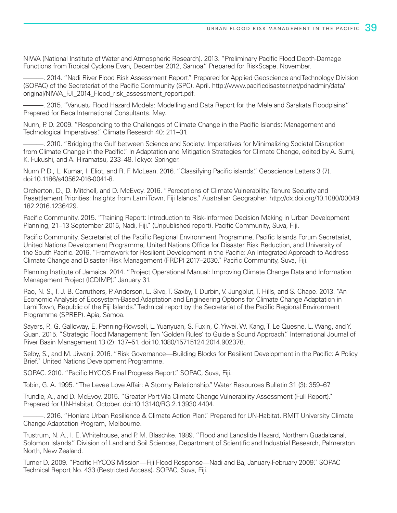NIWA (National Institute of Water and Atmospheric Research). 2013. "Preliminary Pacific Flood Depth-Damage Functions from Tropical Cyclone Evan, December 2012, Samoa." Prepared for RiskScape. November.

-. 2014. "Nadi River Flood Risk Assessment Report." Prepared for Applied Geoscience and Technology Division (SOPAC) of the Secretariat of the Pacific Community (SPC). April. http://www.pacificdisaster.net/pdnadmin/data/ original/NIWA\_FJI\_2014\_Flood\_risk\_assessment\_report.pdf.

———. 2015. "Vanuatu Flood Hazard Models: Modelling and Data Report for the Mele and Sarakata Floodplains." Prepared for Beca International Consultants. May.

Nunn, P. D. 2009. "Responding to the Challenges of Climate Change in the Pacific Islands: Management and Technological Imperatives." Climate Research 40: 211–31.

———. 2010. "Bridging the Gulf between Science and Society: Imperatives for Minimalizing Societal Disruption from Climate Change in the Pacific." In Adaptation and Mitigation Strategies for Climate Change, edited by A. Sumi, K. Fukushi, and A. Hiramatsu, 233–48. Tokyo: Springer.

Nunn P. D., L. Kumar, I. Eliot, and R. F. McLean. 2016. "Classifying Pacific islands." Geoscience Letters 3 (7). doi:10.1186/s40562-016-0041-8.

Orcherton, D., D. Mitchell, and D. McEvoy. 2016. "Perceptions of Climate Vulnerability, Tenure Security and Resettlement Priorities: Insights from Lami Town, Fiji Islands." Australian Geographer. http://dx.doi.org/10.1080/00049 182.2016.1236429.

Pacific Community. 2015. "Training Report: Introduction to Risk-Informed Decision Making in Urban Development Planning, 21–13 September 2015, Nadi, Fiji." (Unpublished report). Pacific Community, Suva, Fiji.

Pacific Community, Secretariat of the Pacific Regional Environment Programme, Pacific Islands Forum Secretariat, United Nations Development Programme, United Nations Office for Disaster Risk Reduction, and University of the South Pacific. 2016. "Framework for Resilient Development in the Pacific: An Integrated Approach to Address Climate Change and Disaster Risk Management (FRDP) 2017–2030." Pacific Community, Suva, Fiji.

Planning Institute of Jamaica. 2014. "Project Operational Manual: Improving Climate Change Data and Information Management Project (ICDIMP)." January 31.

Rao, N. S., T. J. B. Carruthers, P. Anderson, L. Sivo, T. Saxby, T. Durbin, V. Jungblut, T. Hills, and S. Chape. 2013. "An Economic Analysis of Ecosystem-Based Adaptation and Engineering Options for Climate Change Adaptation in Lami Town, Republic of the Fiji Islands." Technical report by the Secretariat of the Pacific Regional Environment Programme (SPREP). Apia, Samoa.

Sayers, P., G. Galloway, E. Penning-Rowsell, L. Yuanyuan, S. Fuxin, C. Yiwei, W. Kang, T. Le Quesne, L. Wang, and Y. Guan. 2015. "Strategic Flood Management: Ten 'Golden Rules' to Guide a Sound Approach." International Journal of River Basin Management 13 (2): 137–51. doi:10.1080/15715124.2014.902378.

Selby, S., and M. Jiwanji. 2016. "Risk Governance—Building Blocks for Resilient Development in the Pacific: A Policy Brief." United Nations Development Programme.

SOPAC. 2010. "Pacific HYCOS Final Progress Report." SOPAC, Suva, Fiji.

Tobin, G. A. 1995. "The Levee Love Affair: A Stormy Relationship." Water Resources Bulletin 31 (3): 359–67.

Trundle, A., and D. McEvoy. 2015. "Greater Port Vila Climate Change Vulnerability Assessment (Full Report)." Prepared for UN-Habitat. October. doi:10.13140/RG.2.1.3930.4404.

———. 2016. "Honiara Urban Resilience & Climate Action Plan." Prepared for UN-Habitat. RMIT University Climate Change Adaptation Program, Melbourne.

Trustrum, N. A., I. E. Whitehouse, and P. M. Blaschke. 1989. "Flood and Landslide Hazard, Northern Guadalcanal, Solomon Islands." Division of Land and Soil Sciences, Department of Scientific and Industrial Research, Palmerston North, New Zealand.

Turner D. 2009. "Pacific HYCOS Mission—Fiji Flood Response—Nadi and Ba, January-February 2009." SOPAC Technical Report No. 433 (Restricted Access). SOPAC, Suva, Fiji.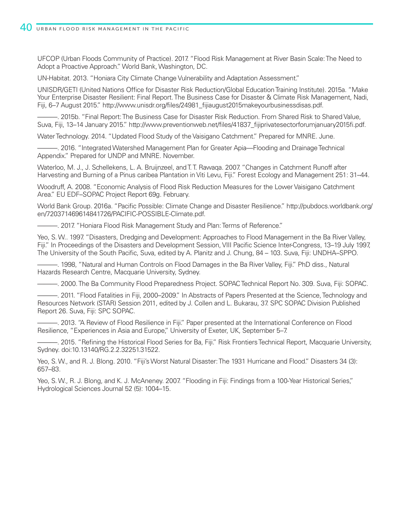UFCOP (Urban Floods Community of Practice). 2017. "Flood Risk Management at River Basin Scale: The Need to Adopt a Proactive Approach." World Bank, Washington, DC.

UN-Habitat. 2013. "Honiara City Climate Change Vulnerability and Adaptation Assessment."

UNISDR/GETI (United Nations Office for Disaster Risk Reduction/Global Education Training Institute). 2015a. "Make Your Enterprise Disaster Resilient: Final Report. The Business Case for Disaster & Climate Risk Management, Nadi, Fiji, 6–7 August 2015." http://www.unisdr.org/files/24981\_fijiaugust2015makeyourbusinessdisas.pdf.

———. 2015b. "Final Report: The Business Case for Disaster Risk Reduction. From Shared Risk to Shared Value, Suva, Fiji, 13–14 January 2015." http://www.preventionweb.net/files/41837 fijiprivatesectorforumjanuary2015fi.pdf.

Water Technology. 2014. "Updated Flood Study of the Vaisigano Catchment." Prepared for MNRE. June.

———. 2016. "Integrated Watershed Management Plan for Greater Apia—Flooding and Drainage Technical Appendix." Prepared for UNDP and MNRE. November.

Waterloo, M. J., J. Schellekens, L. A. Bruijnzeel, and T. T. Rawaqa. 2007. "Changes in Catchment Runoff after Harvesting and Burning of a Pinus caribea Plantation in Viti Levu, Fiji." Forest Ecology and Management 251: 31–44.

Woodruff, A. 2008. "Economic Analysis of Flood Risk Reduction Measures for the Lower Vaisigano Catchment Area." EU EDF–SOPAC Project Report 69g. February.

World Bank Group. 2016a. "Pacific Possible: Climate Change and Disaster Resilience." http://pubdocs.worldbank.org/ en/720371469614841726/PACIFIC-POSSIBLE-Climate.pdf.

———. 2017. "Honiara Flood Risk Management Study and Plan: Terms of Reference."

Yeo, S. W.. 1997. "Disasters, Dredging and Development: Approaches to Flood Management in the Ba River Valley, Fiji." In Proceedings of the Disasters and Development Session, VIII Pacific Science Inter-Congress, 13–19 July 1997, The University of the South Pacific, Suva, edited by A. Planitz and J. Chung, 84 – 103. Suva, Fiji: UNDHA–SPPO.

———. 1998, "Natural and Human Controls on Flood Damages in the Ba River Valley, Fiji." PhD diss., Natural Hazards Research Centre, Macquarie University, Sydney.

———. 2000. The Ba Community Flood Preparedness Project. SOPAC Technical Report No. 309. Suva, Fiji: SOPAC.

———. 2011. "Flood Fatalities in Fiji, 2000–2009." In Abstracts of Papers Presented at the Science, Technology and Resources Network (STAR) Session 2011, edited by J. Collen and L. Bukarau, 37. SPC SOPAC Division Published Report 26. Suva, Fiji: SPC SOPAC.

———. 2013. "A Review of Flood Resilience in Fiji." Paper presented at the International Conference on Flood Resilience, "Experiences in Asia and Europe," University of Exeter, UK, September 5–7.

-. 2015. "Refining the Historical Flood Series for Ba, Fiji." Risk Frontiers Technical Report, Macquarie University, Sydney. doi:10.13140/RG.2.2.32251.31522.

Yeo, S. W., and R. J. Blong. 2010. "Fiji's Worst Natural Disaster: The 1931 Hurricane and Flood." Disasters 34 (3): 657–83.

Yeo, S. W., R. J. Blong, and K. J. McAneney. 2007. "Flooding in Fiji: Findings from a 100-Year Historical Series," Hydrological Sciences Journal 52 (5): 1004–15.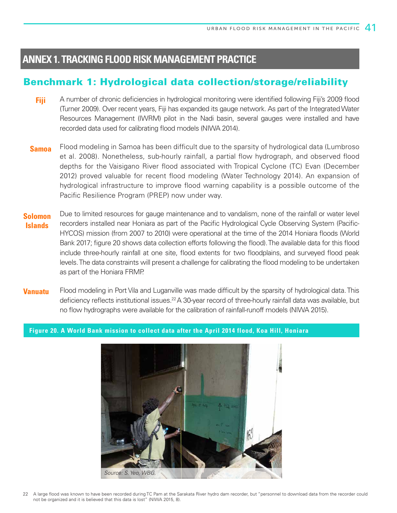### **ANNEX 1. TRACKING FLOOD RISK MANAGEMENT PRACTICE**

### Benchmark 1: Hydrological data collection/storage/reliability

- A number of chronic deficiencies in hydrological monitoring were identified following Fiji's 2009 flood (Turner 2009). Over recent years, Fiji has expanded its gauge network. As part of the Integrated Water Resources Management (IWRM) pilot in the Nadi basin, several gauges were installed and have recorded data used for calibrating flood models (NIWA 2014). **Fiji**
- Flood modeling in Samoa has been difficult due to the sparsity of hydrological data (Lumbroso et al. 2008). Nonetheless, sub-hourly rainfall, a partial flow hydrograph, and observed flood depths for the Vaisigano River flood associated with Tropical Cyclone (TC) Evan (December 2012) proved valuable for recent flood modeling (Water Technology 2014). An expansion of hydrological infrastructure to improve flood warning capability is a possible outcome of the Pacific Resilience Program (PREP) now under way. **Samoa**
- Due to limited resources for gauge maintenance and to vandalism, none of the rainfall or water level recorders installed near Honiara as part of the Pacific Hydrological Cycle Observing System (Pacific-HYCOS) mission (from 2007 to 2010) were operational at the time of the 2014 Honiara floods (World Bank 2017; figure 20 shows data collection efforts following the flood). The available data for this flood include three-hourly rainfall at one site, flood extents for two floodplains, and surveyed flood peak levels. The data constraints will present a challenge for calibrating the flood modeling to be undertaken as part of the Honiara FRMP. **Solomon Islands**
- Flood modeling in Port Vila and Luganville was made difficult by the sparsity of hydrological data. This deficiency reflects institutional issues.<sup>22</sup> A 30-year record of three-hourly rainfall data was available, but no flow hydrographs were available for the calibration of rainfall-runoff models (NIWA 2015). **Vanuatu**

**Figure 20. A World Bank mission to collect data after the April 2014 flood, Koa Hill, Honiara**

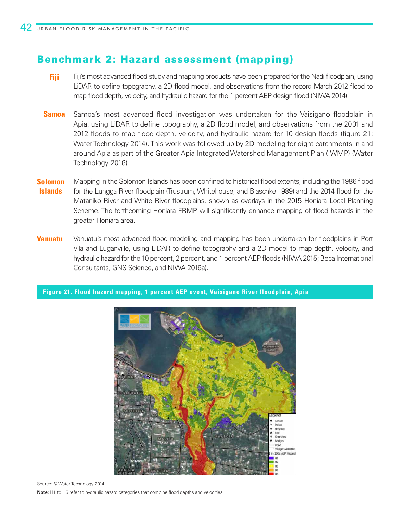### Benchmark 2: Hazard assessment (mapping)

- Fiji's most advanced flood study and mapping products have been prepared for the Nadi floodplain, using LiDAR to define topography, a 2D flood model, and observations from the record March 2012 flood to map flood depth, velocity, and hydraulic hazard for the 1 percent AEP design flood (NIWA 2014). **Fiji**
- Samoa's most advanced flood investigation was undertaken for the Vaisigano floodplain in Apia, using LiDAR to define topography, a 2D flood model, and observations from the 2001 and 2012 floods to map flood depth, velocity, and hydraulic hazard for 10 design floods (figure 21; Water Technology 2014). This work was followed up by 2D modeling for eight catchments in and around Apia as part of the Greater Apia Integrated Watershed Management Plan (IWMP) (Water Technology 2016). **Samoa**
- Mapping in the Solomon Islands has been confined to historical flood extents, including the 1986 flood for the Lungga River floodplain (Trustrum, Whitehouse, and Blaschke 1989) and the 2014 flood for the Mataniko River and White River floodplains, shown as overlays in the 2015 Honiara Local Planning Scheme. The forthcoming Honiara FRMP will significantly enhance mapping of flood hazards in the greater Honiara area. **Solomon Islands**
- Vanuatu's most advanced flood modeling and mapping has been undertaken for floodplains in Port Vila and Luganville, using LiDAR to define topography and a 2D model to map depth, velocity, and hydraulic hazard for the 10 percent, 2 percent, and 1 percent AEP floods (NIWA 2015; Beca International Consultants, GNS Science, and NIWA 2016a). **Vanuatu**

#### **Figure 21. Flood hazard mapping, 1 percent AEP event, Vaisigano River floodplain, Apia**



Source: © Water Technology 2014.

**Note:** H1 to H5 refer to hydraulic hazard categories that combine flood depths and velocities.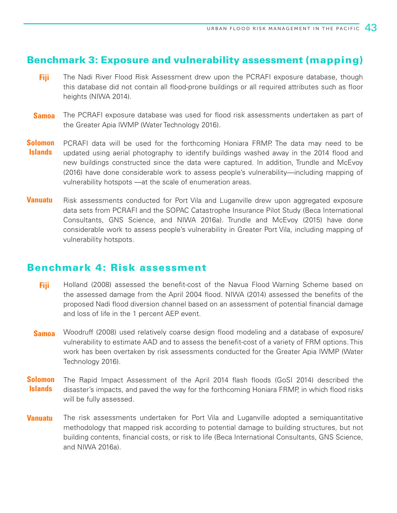### Benchmark 3: Exposure and vulnerability assessment (mapping)

- The Nadi River Flood Risk Assessment drew upon the PCRAFI exposure database, though this database did not contain all flood-prone buildings or all required attributes such as floor heights (NIWA 2014). **Fiji**
- The PCRAFI exposure database was used for flood risk assessments undertaken as part of the Greater Apia IWMP (Water Technology 2016). **Samoa**
- PCRAFI data will be used for the forthcoming Honiara FRMP. The data may need to be updated using aerial photography to identify buildings washed away in the 2014 flood and new buildings constructed since the data were captured. In addition, Trundle and McEvoy (2016) have done considerable work to assess people's vulnerability—including mapping of vulnerability hotspots —at the scale of enumeration areas. **Solomon Islands**
- Risk assessments conducted for Port Vila and Luganville drew upon aggregated exposure data sets from PCRAFI and the SOPAC Catastrophe Insurance Pilot Study (Beca International Consultants, GNS Science, and NIWA 2016a). Trundle and McEvoy (2015) have done considerable work to assess people's vulnerability in Greater Port Vila, including mapping of vulnerability hotspots. **Vanuatu**

### Benchmark 4: Risk assessment

- Holland (2008) assessed the benefit-cost of the Navua Flood Warning Scheme based on the assessed damage from the April 2004 flood. NIWA (2014) assessed the benefits of the proposed Nadi flood diversion channel based on an assessment of potential financial damage and loss of life in the 1 percent AEP event. **Fiji**
- Woodruff (2008) used relatively coarse design flood modeling and a database of exposure/ vulnerability to estimate AAD and to assess the benefit-cost of a variety of FRM options. This work has been overtaken by risk assessments conducted for the Greater Apia IWMP (Water Technology 2016). **Samoa**
- The Rapid Impact Assessment of the April 2014 flash floods (GoSI 2014) described the disaster's impacts, and paved the way for the forthcoming Honiara FRMP, in which flood risks will be fully assessed. **Solomon Islands**
- The risk assessments undertaken for Port Vila and Luganville adopted a semiquantitative methodology that mapped risk according to potential damage to building structures, but not building contents, financial costs, or risk to life (Beca International Consultants, GNS Science, and NIWA 2016a). **Vanuatu**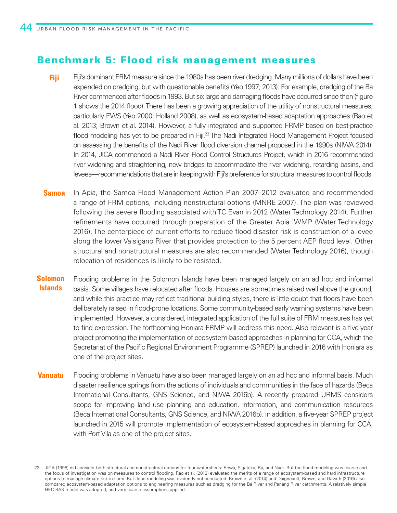### Benchmark 5: Flood risk management measures

- Fiji's dominant FRM measure since the 1980s has been river dredging. Many millions of dollars have been expended on dredging, but with questionable benefits (Yeo 1997; 2013). For example, dredging of the Ba River commenced after floods in 1993. But six large and damaging floods have occurred since then (figure 1 shows the 2014 flood). There has been a growing appreciation of the utility of nonstructural measures, particularly EWS (Yeo 2000; Holland 2008), as well as ecosystem-based adaptation approaches (Rao et al. 2013; Brown et al. 2014). However, a fully integrated and supported FRMP based on best-practice flood modeling has yet to be prepared in Fiji.<sup>23</sup> The Nadi Integrated Flood Management Project focused on assessing the benefits of the Nadi River flood diversion channel proposed in the 1990s (NIWA 2014). In 2014, JICA commenced a Nadi River Flood Control Structures Project, which in 2016 recommended river widening and straightening, new bridges to accommodate the river widening, retarding basins, and levees—recommendations that are in keeping with Fiji's preference for structural measures to control floods. **Fiji**
- In Apia, the Samoa Flood Management Action Plan 2007–2012 evaluated and recommended a range of FRM options, including nonstructural options (MNRE 2007). The plan was reviewed following the severe flooding associated with TC Evan in 2012 (Water Technology 2014). Further refinements have occurred through preparation of the Greater Apia IWMP (Water Technology 2016). The centerpiece of current efforts to reduce flood disaster risk is construction of a levee along the lower Vaisigano River that provides protection to the 5 percent AEP flood level. Other structural and nonstructural measures are also recommended (Water Technology 2016), though relocation of residences is likely to be resisted. **Samoa**
- Flooding problems in the Solomon Islands have been managed largely on an ad hoc and informal basis. Some villages have relocated after floods. Houses are sometimes raised well above the ground, and while this practice may reflect traditional building styles, there is little doubt that floors have been deliberately raised in flood-prone locations. Some community-based early warning systems have been implemented. However, a considered, integrated application of the full suite of FRM measures has yet to find expression. The forthcoming Honiara FRMP will address this need. Also relevant is a five-year project promoting the implementation of ecosystem-based approaches in planning for CCA, which the Secretariat of the Pacific Regional Environment Programme (SPREP) launched in 2016 with Honiara as one of the project sites. **Solomon Islands**
- Flooding problems in Vanuatu have also been managed largely on an ad hoc and informal basis. Much disaster resilience springs from the actions of individuals and communities in the face of hazards (Beca International Consultants, GNS Science, and NIWA 2016b). A recently prepared URMS considers scope for improving land use planning and education, information, and communication resources (Beca International Consultants, GNS Science, and NIWA 2016b). In addition, a five-year SPREP project launched in 2015 will promote implementation of ecosystem-based approaches in planning for CCA, with Port Vila as one of the project sites. **Vanuatu**

<sup>23</sup> JICA (1998) did consider both structural and nonstructural options for four watersheds: Rewa, Sigatoka, Ba, and Nadi. But the flood modeling was coarse and the focus of investigation was on measures to control flooding. Rao et al. (2013) evaluated the merits of a range of ecosystem-based and hard infrastructure options to manage climate risk in Lami. But flood modeling was evidently not conducted. Brown et al. (2014) and Daigneault, Brown, and Gawith (2016) also compared ecosystem-based adaptation options to engineering measures such as dredging for the Ba River and Penang River catchments. A relatively simple HEC-RAS model was adopted, and very coarse assumptions applied.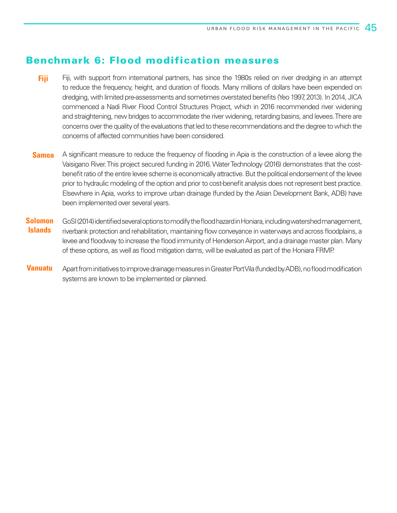### Benchmark 6: Flood modification measures

- Fiji, with support from international partners, has since the 1980s relied on river dredging in an attempt to reduce the frequency, height, and duration of floods. Many millions of dollars have been expended on dredging, with limited pre-assessments and sometimes overstated benefits (Yeo 1997, 2013). In 2014, JICA commenced a Nadi River Flood Control Structures Project, which in 2016 recommended river widening and straightening, new bridges to accommodate the river widening, retarding basins, and levees. There are concerns over the quality of the evaluations that led to these recommendations and the degree to which the concerns of affected communities have been considered. **Fiji**
- A significant measure to reduce the frequency of flooding in Apia is the construction of a levee along the Vaisigano River. This project secured funding in 2016. Water Technology (2016) demonstrates that the costbenefit ratio of the entire levee scheme is economically attractive. But the political endorsement of the levee prior to hydraulic modeling of the option and prior to cost-benefit analysis does not represent best practice. Elsewhere in Apia, works to improve urban drainage (funded by the Asian Development Bank, ADB) have been implemented over several years. **Samoa**
- GoSI (2014) identified several options to modify the flood hazard in Honiara, including watershed management, riverbank protection and rehabilitation, maintaining flow conveyance in waterways and across floodplains, a levee and floodway to increase the flood immunity of Henderson Airport, and a drainage master plan. Many of these options, as well as flood mitigation dams, will be evaluated as part of the Honiara FRMP. **Solomon Islands**
- Apart from initiatives to improve drainage measures in Greater Port Vila (funded by ADB), no flood modification systems are known to be implemented or planned. **Vanuatu**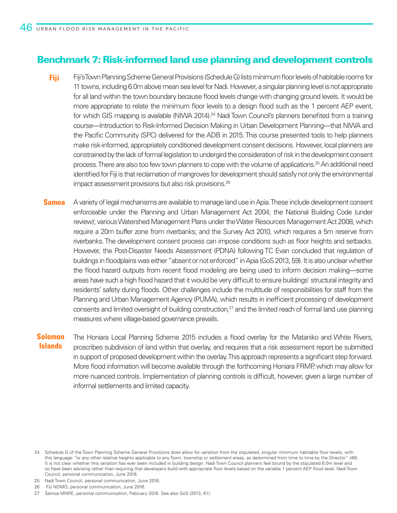### Benchmark 7: Risk-informed land use planning and development controls

- Fiji's Town Planning Scheme General Provisions (Schedule G) lists minimum floor levels of habitable rooms for 11 towns, including 6.0m above mean sea level for Nadi. However, a singular planning level is not appropriate for all land within the town boundary because flood levels change with changing ground levels. It would be more appropriate to relate the minimum floor levels to a design flood such as the 1 percent AEP event, for which GIS mapping is available (NIWA 2014).<sup>24</sup> Nadi Town Council's planners benefited from a training course—Introduction to Risk-Informed Decision Making in Urban Development Planning—that NIWA and the Pacific Community (SPC) delivered for the ADB in 2015. This course presented tools to help planners make risk-informed, appropriately conditioned development consent decisions. However, local planners are constrained by the lack of formal legislation to undergird the consideration of risk in the development consent process. There are also too few town planners to cope with the volume of applications.25 An additional need identified for Fiji is that reclamation of mangroves for development should satisfy not only the environmental impact assessment provisions but also risk provisions.26 **Fiji**
- A variety of legal mechanisms are available to manage land use in Apia. These include development consent enforceable under the Planning and Urban Management Act 2004; the National Building Code (under review); various Watershed Management Plans under the Water Resources Management Act 2008, which require a 20m buffer zone from riverbanks; and the Survey Act 2010, which requires a 5m reserve from riverbanks. The development consent process can impose conditions such as floor heights and setbacks. However, the Post-Disaster Needs Assessment (PDNA) following TC Evan concluded that regulation of buildings in floodplains was either "absent or not enforced" in Apia (GoS 2013, 59). It is also unclear whether the flood hazard outputs from recent flood modeling are being used to inform decision making—some areas have such a high flood hazard that it would be very difficult to ensure buildings' structural integrity and residents' safety during floods. Other challenges include the multitude of responsibilities for staff from the Planning and Urban Management Agency (PUMA), which results in inefficient processing of development consents and limited oversight of building construction,<sup>27</sup> and the limited reach of formal land use planning measures where village-based governance prevails. **Samoa**

The Honiara Local Planning Scheme 2015 includes a flood overlay for the Mataniko and White Rivers, proscribes subdivision of land within that overlay, and requires that a risk assessment report be submitted in support of proposed development within the overlay. This approach represents a significant step forward. More flood information will become available through the forthcoming Honiara FRMP, which may allow for more nuanced controls. Implementation of planning controls is difficult, however, given a large number of informal settlements and limited capacity. **Solomon Islands**

<sup>24</sup> Schedule G of the Town Planning Scheme General Provisions does allow for variation from the stipulated, singular minimum habitable floor levels, with this language: "or any other relative heights applicable to any Town, township or settlement areas, as determined from time to time by the Director" (46). It is not clear whether this variation has ever been included in building design. Nadi Town Council planners feel bound by the stipulated 6.0m level and so have been advising rather than requiring that developers build with appropriate floor levels based on the variable 1 percent AEP flood level. Nadi Town Council, personal communication, June 2016.

<sup>25</sup> Nadi Town Council, personal communication, June 2016.

<sup>26</sup> Fiji NDMO, personal communication, June 2016.

<sup>27</sup> Samoa MNRE, personal communication, February 2016. See also GoS (2013, 61).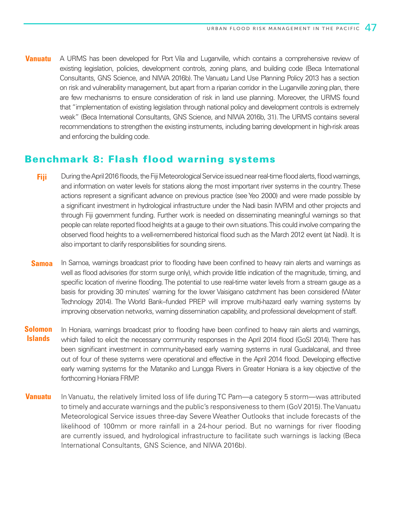**Vanuatu** A URMS has been developed for Port Vila and Luganville, which contains a comprehensive review of existing legislation, policies, development controls, zoning plans, and building code (Beca International Consultants, GNS Science, and NIWA 2016b). The Vanuatu Land Use Planning Policy 2013 has a section on risk and vulnerability management, but apart from a riparian corridor in the Luganville zoning plan, there are few mechanisms to ensure consideration of risk in land use planning. Moreover, the URMS found that "implementation of existing legislation through national policy and development controls is extremely weak" (Beca International Consultants, GNS Science, and NIWA 2016b, 31). The URMS contains several recommendations to strengthen the existing instruments, including barring development in high-risk areas and enforcing the building code.

### Benchmark 8: Flash flood warning systems

- During the April 2016 floods, the Fiji Meteorological Service issued near real-time flood alerts, flood warnings, and information on water levels for stations along the most important river systems in the country. These actions represent a significant advance on previous practice (see Yeo 2000) and were made possible by a significant investment in hydrological infrastructure under the Nadi basin IWRM and other projects and through Fiji government funding. Further work is needed on disseminating meaningful warnings so that people can relate reported flood heights at a gauge to their own situations. This could involve comparing the observed flood heights to a well-remembered historical flood such as the March 2012 event (at Nadi). It is also important to clarify responsibilities for sounding sirens. **Fiji**
- In Samoa, warnings broadcast prior to flooding have been confined to heavy rain alerts and warnings as well as flood advisories (for storm surge only), which provide little indication of the magnitude, timing, and specific location of riverine flooding. The potential to use real-time water levels from a stream gauge as a basis for providing 30 minutes' warning for the lower Vaisigano catchment has been considered (Water Technology 2014). The World Bank–funded PREP will improve multi-hazard early warning systems by improving observation networks, warning dissemination capability, and professional development of staff. **Samoa**
- In Honiara, warnings broadcast prior to flooding have been confined to heavy rain alerts and warnings, which failed to elicit the necessary community responses in the April 2014 flood (GoSI 2014). There has been significant investment in community-based early warning systems in rural Guadalcanal, and three out of four of these systems were operational and effective in the April 2014 flood. Developing effective early warning systems for the Mataniko and Lungga Rivers in Greater Honiara is a key objective of the forthcoming Honiara FRMP. **Solomon Islands**
- In Vanuatu, the relatively limited loss of life during TC Pam—a category 5 storm—was attributed to timely and accurate warnings and the public's responsiveness to them (GoV 2015). The Vanuatu Meteorological Service issues three-day Severe Weather Outlooks that include forecasts of the likelihood of 100mm or more rainfall in a 24-hour period. But no warnings for river flooding are currently issued, and hydrological infrastructure to facilitate such warnings is lacking (Beca International Consultants, GNS Science, and NIWA 2016b). **Vanuatu**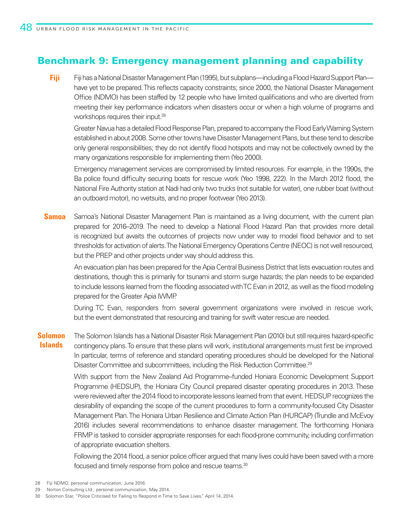### Benchmark 9: Emergency management planning and capability

Fiji has a National Disaster Management Plan (1995), but subplans—including a Flood Hazard Support Plan have yet to be prepared. This reflects capacity constraints; since 2000, the National Disaster Management Office (NDMO) has been staffed by 12 people who have limited qualifications and who are diverted from meeting their key performance indicators when disasters occur or when a high volume of programs and workshops requires their input.28 **Fiji**

Greater Navua has a detailed Flood Response Plan, prepared to accompany the Flood Early Warning System established in about 2008. Some other towns have Disaster Management Plans, but these tend to describe only general responsibilities; they do not identify flood hotspots and may not be collectively owned by the many organizations responsible for implementing them (Yeo 2000).

Emergency management services are compromised by limited resources. For example, in the 1990s, the Ba police found difficulty securing boats for rescue work (Yeo 1998, 222). In the March 2012 flood, the National Fire Authority station at Nadi had only two trucks (not suitable for water), one rubber boat (without an outboard motor), no wetsuits, and no proper footwear (Yeo 2013).

Samoa's National Disaster Management Plan is maintained as a living document, with the current plan prepared for 2016–2019. The need to develop a National Flood Hazard Plan that provides more detail is recognized but awaits the outcomes of projects now under way to model flood behavior and to set thresholds for activation of alerts. The National Emergency Operations Centre (NEOC) is not well resourced, but the PREP and other projects under way should address this. **Samoa**

An evacuation plan has been prepared for the Apia Central Business District that lists evacuation routes and destinations, though this is primarily for tsunami and storm surge hazards; the plan needs to be expanded to include lessons learned from the flooding associated with TC Evan in 2012, as well as the flood modeling prepared for the Greater Apia IWMP.

During TC Evan, responders from several government organizations were involved in rescue work, but the event demonstrated that resourcing and training for swift water rescue are needed.

The Solomon Islands has a National Disaster Risk Management Plan (2010) but still requires hazard-specific contingency plans. To ensure that these plans will work, institutional arrangements must first be improved. In particular, terms of reference and standard operating procedures should be developed for the National Disaster Committee and subcommittees, including the Risk Reduction Committee.<sup>29</sup> **Solomon Islands**

> With support from the New Zealand Aid Programme–funded Honiara Economic Development Support Programme (HEDSUP), the Honiara City Council prepared disaster operating procedures in 2013. These were reviewed after the 2014 flood to incorporate lessons learned from that event. HEDSUP recognizes the desirability of expanding the scope of the current procedures to form a community-focused City Disaster Management Plan. The Honiara Urban Resilience and Climate Action Plan (HURCAP) (Trundle and McEvoy 2016) includes several recommendations to enhance disaster management. The forthcoming Honiara FRMP is tasked to consider appropriate responses for each flood-prone community, including confirmation of appropriate evacuation shelters.

> Following the 2014 flood, a senior police officer argued that many lives could have been saved with a more focused and timely response from police and rescue teams.<sup>30</sup>

- 28 Fiji NDMO, personal communication, June 2016.
- 29 Norton Consulting Ltd., personal communication, May 2014.

<sup>30</sup> Solomon Star, "Police Criticised for Failing to Respond in Time to Save Lives," April 14, 2014.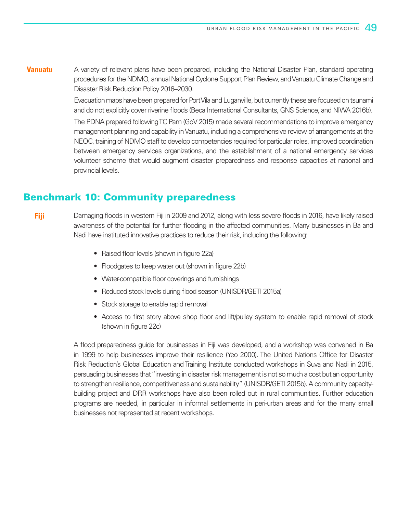A variety of relevant plans have been prepared, including the National Disaster Plan, standard operating procedures for the NDMO, annual National Cyclone Support Plan Review, and Vanuatu Climate Change and Disaster Risk Reduction Policy 2016–2030. **Vanuatu**

> Evacuation maps have been prepared for Port Vila and Luganville, but currently these are focused on tsunami and do not explicitly cover riverine floods (Beca International Consultants, GNS Science, and NIWA 2016b).

> The PDNA prepared following TC Pam (GoV 2015) made several recommendations to improve emergency management planning and capability in Vanuatu, including a comprehensive review of arrangements at the NEOC, training of NDMO staff to develop competencies required for particular roles, improved coordination between emergency services organizations, and the establishment of a national emergency services volunteer scheme that would augment disaster preparedness and response capacities at national and provincial levels.

### Benchmark 10: Community preparedness

**Fiji**

Damaging floods in western Fiji in 2009 and 2012, along with less severe floods in 2016, have likely raised awareness of the potential for further flooding in the affected communities. Many businesses in Ba and Nadi have instituted innovative practices to reduce their risk, including the following:

- Raised floor levels (shown in figure 22a)
- Floodgates to keep water out (shown in figure 22b)
- Water-compatible floor coverings and furnishings
- Reduced stock levels during flood season (UNISDR/GETI 2015a)
- Stock storage to enable rapid removal
- Access to first story above shop floor and lift/pulley system to enable rapid removal of stock (shown in figure 22c)

A flood preparedness guide for businesses in Fiji was developed, and a workshop was convened in Ba in 1999 to help businesses improve their resilience (Yeo 2000). The United Nations Office for Disaster Risk Reduction's Global Education and Training Institute conducted workshops in Suva and Nadi in 2015, persuading businesses that "investing in disaster risk management is not so much a cost but an opportunity to strengthen resilience, competitiveness and sustainability" (UNISDR/GETI 2015b). A community capacitybuilding project and DRR workshops have also been rolled out in rural communities. Further education programs are needed, in particular in informal settlements in peri-urban areas and for the many small businesses not represented at recent workshops.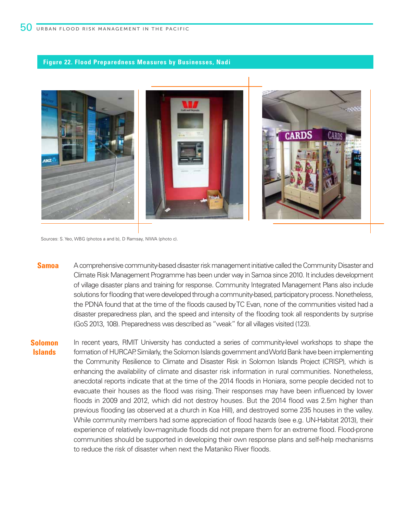#### **Figure 22. Flood Preparedness Measures by Businesses, Nadi**



Sources: S. Yeo, WBG (photos a and b), D Ramsay, NIWA (photo c).

- **Samoa** A comprehensive community-based disaster risk management initiative called the Community Disaster and Climate Risk Management Programme has been under way in Samoa since 2010. It includes development of village disaster plans and training for response. Community Integrated Management Plans also include solutions for flooding that were developed through a community-based, participatory process. Nonetheless, the PDNA found that at the time of the floods caused by TC Evan, none of the communities visited had a disaster preparedness plan, and the speed and intensity of the flooding took all respondents by surprise (GoS 2013, 108). Preparedness was described as "weak" for all villages visited (123).
- **Solomon Islands** In recent years, RMIT University has conducted a series of community-level workshops to shape the formation of HURCAP. Similarly, the Solomon Islands government and World Bank have been implementing the Community Resilience to Climate and Disaster Risk in Solomon Islands Project (CRISP), which is enhancing the availability of climate and disaster risk information in rural communities. Nonetheless, anecdotal reports indicate that at the time of the 2014 floods in Honiara, some people decided not to evacuate their houses as the flood was rising. Their responses may have been influenced by lower floods in 2009 and 2012, which did not destroy houses. But the 2014 flood was 2.5m higher than previous flooding (as observed at a church in Koa Hill), and destroyed some 235 houses in the valley. While community members had some appreciation of flood hazards (see e.g. UN-Habitat 2013), their experience of relatively low-magnitude floods did not prepare them for an extreme flood. Flood-prone communities should be supported in developing their own response plans and self-help mechanisms to reduce the risk of disaster when next the Mataniko River floods.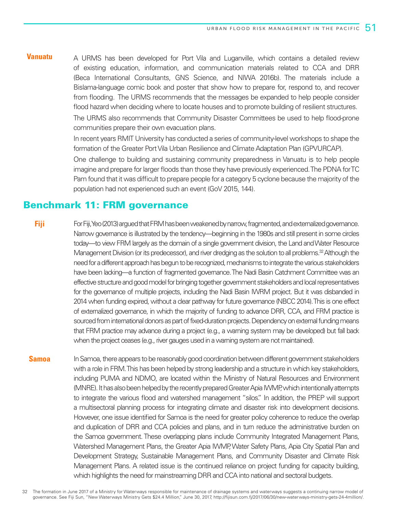A URMS has been developed for Port Vila and Luganville, which contains a detailed review of existing education, information, and communication materials related to CCA and DRR (Beca International Consultants, GNS Science, and NIWA 2016b). The materials include a Bislama-language comic book and poster that show how to prepare for, respond to, and recover from flooding. The URMS recommends that the messages be expanded to help people consider flood hazard when deciding where to locate houses and to promote building of resilient structures. **Vanuatu**

> The URMS also recommends that Community Disaster Committees be used to help flood-prone communities prepare their own evacuation plans.

> In recent years RMIT University has conducted a series of community-level workshops to shape the formation of the Greater Port Vila Urban Resilience and Climate Adaptation Plan (GPVURCAP).

> One challenge to building and sustaining community preparedness in Vanuatu is to help people imagine and prepare for larger floods than those they have previously experienced. The PDNA for TC Pam found that it was difficult to prepare people for a category 5 cyclone because the majority of the population had not experienced such an event (GoV 2015, 144).

### Benchmark 11: FRM governance

For Fiji, Yeo (2013) argued that FRM has been weakened by narrow, fragmented, and externalized governance. Narrow governance is illustrated by the tendency—beginning in the 1980s and still present in some circles today—to view FRM largely as the domain of a single government division, the Land and Water Resource Management Division (or its predecessor), and river dredging as the solution to all problems.<sup>32</sup> Although the need for a different approach has begun to be recognized, mechanisms to integrate the various stakeholders have been lacking—a function of fragmented governance. The Nadi Basin Catchment Committee was an effective structure and good model for bringing together government stakeholders and local representatives for the governance of multiple projects, including the Nadi Basin IWRM project. But it was disbanded in 2014 when funding expired, without a clear pathway for future governance (NBCC 2014). This is one effect of externalized governance, in which the majority of funding to advance DRR, CCA, and FRM practice is sourced from international donors as part of fixed-duration projects. Dependency on external funding means that FRM practice may advance during a project (e.g., a warning system may be developed) but fall back when the project ceases (e.g., river gauges used in a warning system are not maintained). **Fiji**

In Samoa, there appears to be reasonably good coordination between different government stakeholders with a role in FRM. This has been helped by strong leadership and a structure in which key stakeholders, including PUMA and NDMO, are located within the Ministry of Natural Resources and Environment (MNRE). It has also been helped by the recently prepared Greater Apia IWMP, which intentionally attempts to integrate the various flood and watershed management "silos." In addition, the PREP will support a multisectoral planning process for integrating climate and disaster risk into development decisions. However, one issue identified for Samoa is the need for greater policy coherence to reduce the overlap and duplication of DRR and CCA policies and plans, and in turn reduce the administrative burden on the Samoa government. These overlapping plans include Community Integrated Management Plans, Watershed Management Plans, the Greater Apia IWMP, Water Safety Plans, Apia City Spatial Plan and Development Strategy, Sustainable Management Plans, and Community Disaster and Climate Risk Management Plans. A related issue is the continued reliance on project funding for capacity building, which highlights the need for mainstreaming DRR and CCA into national and sectoral budgets. **Samoa**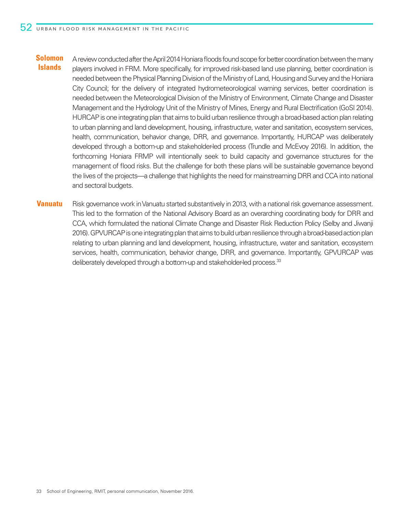- A review conducted after the April 2014 Honiara floods found scope for better coordination between the many players involved in FRM. More specifically, for improved risk-based land use planning, better coordination is needed between the Physical Planning Division of the Ministry of Land, Housing and Survey and the Honiara City Council; for the delivery of integrated hydrometeorological warning services, better coordination is needed between the Meteorological Division of the Ministry of Environment, Climate Change and Disaster Management and the Hydrology Unit of the Ministry of Mines, Energy and Rural Electrification (GoSI 2014). HURCAP is one integrating plan that aims to build urban resilience through a broad-based action plan relating to urban planning and land development, housing, infrastructure, water and sanitation, ecosystem services, health, communication, behavior change, DRR, and governance. Importantly, HURCAP was deliberately developed through a bottom-up and stakeholder-led process (Trundle and McEvoy 2016). In addition, the forthcoming Honiara FRMP will intentionally seek to build capacity and governance structures for the management of flood risks. But the challenge for both these plans will be sustainable governance beyond the lives of the projects—a challenge that highlights the need for mainstreaming DRR and CCA into national and sectoral budgets. **Solomon Islands**
- Risk governance work in Vanuatu started substantively in 2013, with a national risk governance assessment. This led to the formation of the National Advisory Board as an overarching coordinating body for DRR and CCA, which formulated the national Climate Change and Disaster Risk Reduction Policy (Selby and Jiwanji 2016). GPVURCAP is one integrating plan that aims to build urban resilience through a broad-based action plan relating to urban planning and land development, housing, infrastructure, water and sanitation, ecosystem services, health, communication, behavior change, DRR, and governance. Importantly, GPVURCAP was deliberately developed through a bottom-up and stakeholder-led process.<sup>33</sup> **Vanuatu**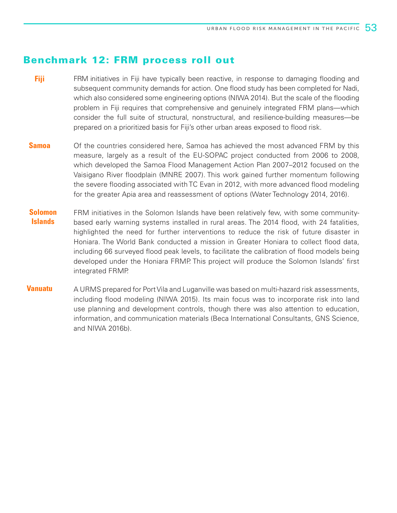### Benchmark 12: FRM process roll out

- FRM initiatives in Fiji have typically been reactive, in response to damaging flooding and subsequent community demands for action. One flood study has been completed for Nadi, which also considered some engineering options (NIWA 2014). But the scale of the flooding problem in Fiji requires that comprehensive and genuinely integrated FRM plans—which consider the full suite of structural, nonstructural, and resilience-building measures—be prepared on a prioritized basis for Fiji's other urban areas exposed to flood risk. **Fiji**
- Of the countries considered here, Samoa has achieved the most advanced FRM by this measure, largely as a result of the EU-SOPAC project conducted from 2006 to 2008, which developed the Samoa Flood Management Action Plan 2007–2012 focused on the Vaisigano River floodplain (MNRE 2007). This work gained further momentum following the severe flooding associated with TC Evan in 2012, with more advanced flood modeling for the greater Apia area and reassessment of options (Water Technology 2014, 2016). **Samoa**
- FRM initiatives in the Solomon Islands have been relatively few, with some communitybased early warning systems installed in rural areas. The 2014 flood, with 24 fatalities, highlighted the need for further interventions to reduce the risk of future disaster in Honiara. The World Bank conducted a mission in Greater Honiara to collect flood data, including 66 surveyed flood peak levels, to facilitate the calibration of flood models being developed under the Honiara FRMP. This project will produce the Solomon Islands' first integrated FRMP. **Solomon Islands**
- A URMS prepared for Port Vila and Luganville was based on multi-hazard risk assessments, including flood modeling (NIWA 2015). Its main focus was to incorporate risk into land use planning and development controls, though there was also attention to education, information, and communication materials (Beca International Consultants, GNS Science, and NIWA 2016b). **Vanuatu**